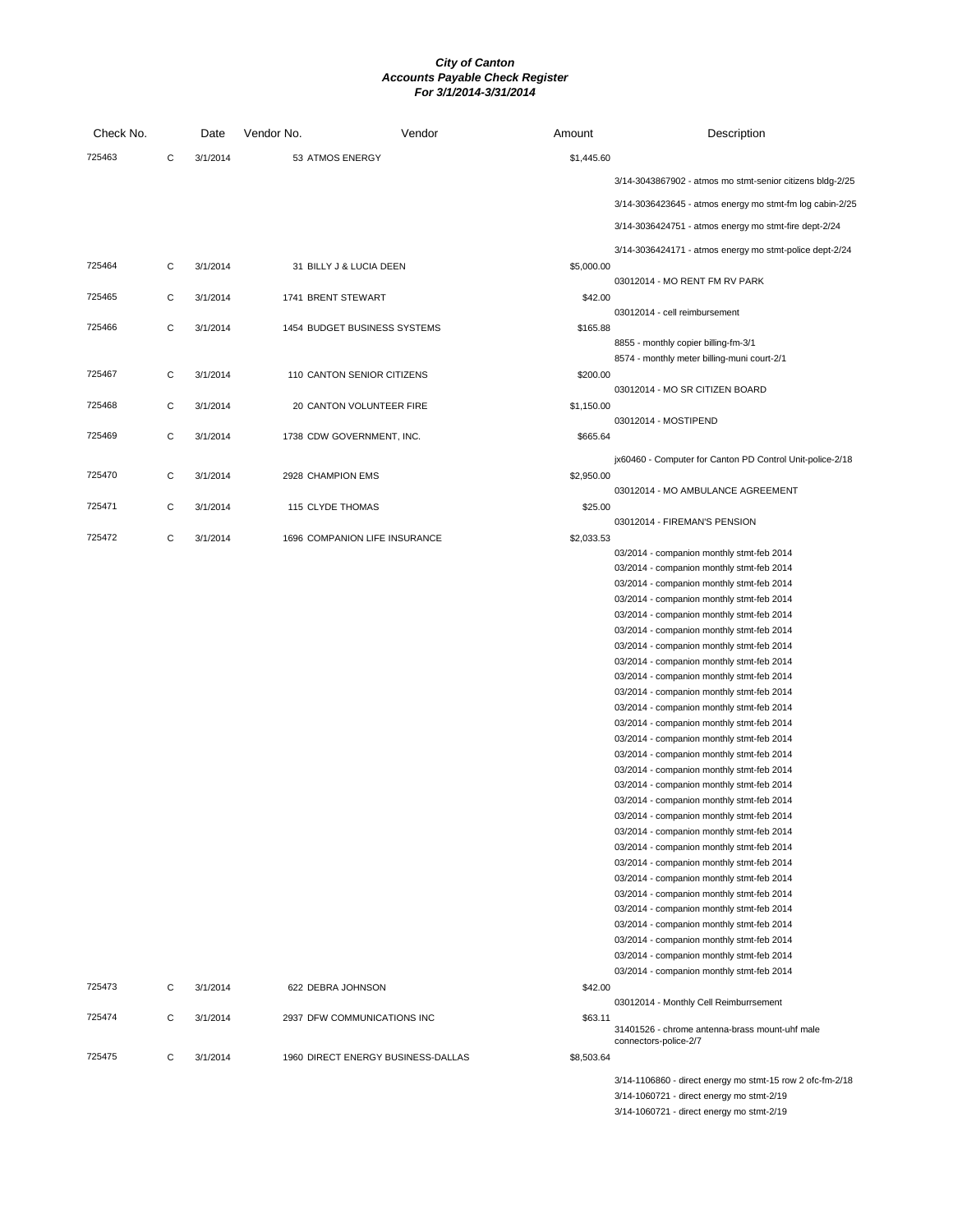| Check No. |   | Date     | Vendor No.         | Vendor                             | Amount     | Description                                                                            |
|-----------|---|----------|--------------------|------------------------------------|------------|----------------------------------------------------------------------------------------|
| 725463    | C | 3/1/2014 | 53 ATMOS ENERGY    |                                    | \$1,445.60 |                                                                                        |
|           |   |          |                    |                                    |            | 3/14-3043867902 - atmos mo stmt-senior citizens bldg-2/25                              |
|           |   |          |                    |                                    |            | 3/14-3036423645 - atmos energy mo stmt-fm log cabin-2/25                               |
|           |   |          |                    |                                    |            |                                                                                        |
|           |   |          |                    |                                    |            | 3/14-3036424751 - atmos energy mo stmt-fire dept-2/24                                  |
| 725464    | C |          |                    |                                    |            | 3/14-3036424171 - atmos energy mo stmt-police dept-2/24                                |
|           |   | 3/1/2014 |                    | 31 BILLY J & LUCIA DEEN            | \$5,000.00 | 03012014 - MO RENT FM RV PARK                                                          |
| 725465    | C | 3/1/2014 | 1741 BRENT STEWART |                                    | \$42.00    |                                                                                        |
|           |   |          |                    |                                    |            | 03012014 - cell reimbursement                                                          |
| 725466    | C | 3/1/2014 |                    | 1454 BUDGET BUSINESS SYSTEMS       | \$165.88   | 8855 - monthly copier billing-fm-3/1                                                   |
|           |   |          |                    |                                    |            | 8574 - monthly meter billing-muni court-2/1                                            |
| 725467    | C | 3/1/2014 |                    | 110 CANTON SENIOR CITIZENS         | \$200.00   |                                                                                        |
| 725468    | C | 3/1/2014 |                    | 20 CANTON VOLUNTEER FIRE           | \$1,150.00 | 03012014 - MO SR CITIZEN BOARD                                                         |
|           |   |          |                    |                                    |            | 03012014 - MOSTIPEND                                                                   |
| 725469    | C | 3/1/2014 |                    | 1738 CDW GOVERNMENT, INC.          | \$665.64   |                                                                                        |
|           |   |          |                    |                                    |            | jx60460 - Computer for Canton PD Control Unit-police-2/18                              |
| 725470    | C | 3/1/2014 | 2928 CHAMPION EMS  |                                    | \$2,950.00 |                                                                                        |
| 725471    | C | 3/1/2014 |                    |                                    |            | 03012014 - MO AMBULANCE AGREEMENT                                                      |
|           |   |          | 115 CLYDE THOMAS   |                                    | \$25.00    | 03012014 - FIREMAN'S PENSION                                                           |
| 725472    | С | 3/1/2014 |                    | 1696 COMPANION LIFE INSURANCE      | \$2,033.53 |                                                                                        |
|           |   |          |                    |                                    |            | 03/2014 - companion monthly stmt-feb 2014                                              |
|           |   |          |                    |                                    |            | 03/2014 - companion monthly stmt-feb 2014                                              |
|           |   |          |                    |                                    |            | 03/2014 - companion monthly stmt-feb 2014                                              |
|           |   |          |                    |                                    |            | 03/2014 - companion monthly stmt-feb 2014                                              |
|           |   |          |                    |                                    |            | 03/2014 - companion monthly stmt-feb 2014                                              |
|           |   |          |                    |                                    |            | 03/2014 - companion monthly stmt-feb 2014<br>03/2014 - companion monthly stmt-feb 2014 |
|           |   |          |                    |                                    |            | 03/2014 - companion monthly stmt-feb 2014                                              |
|           |   |          |                    |                                    |            | 03/2014 - companion monthly stmt-feb 2014                                              |
|           |   |          |                    |                                    |            | 03/2014 - companion monthly stmt-feb 2014                                              |
|           |   |          |                    |                                    |            | 03/2014 - companion monthly stmt-feb 2014                                              |
|           |   |          |                    |                                    |            | 03/2014 - companion monthly stmt-feb 2014                                              |
|           |   |          |                    |                                    |            | 03/2014 - companion monthly stmt-feb 2014                                              |
|           |   |          |                    |                                    |            | 03/2014 - companion monthly stmt-feb 2014                                              |
|           |   |          |                    |                                    |            | 03/2014 - companion monthly stmt-feb 2014                                              |
|           |   |          |                    |                                    |            | 03/2014 - companion monthly stmt-feb 2014                                              |
|           |   |          |                    |                                    |            | 03/2014 - companion monthly stmt-feb 2014                                              |
|           |   |          |                    |                                    |            | 03/2014 - companion monthly stmt-feb 2014                                              |
|           |   |          |                    |                                    |            | 03/2014 - companion monthly stmt-feb 2014                                              |
|           |   |          |                    |                                    |            | 03/2014 - companion monthly stmt-feb 2014                                              |
|           |   |          |                    |                                    |            | 03/2014 - companion monthly stmt-feb 2014                                              |
|           |   |          |                    |                                    |            | 03/2014 - companion monthly stmt-feb 2014                                              |
|           |   |          |                    |                                    |            | 03/2014 - companion monthly stmt-feb 2014                                              |
|           |   |          |                    |                                    |            | 03/2014 - companion monthly stmt-feb 2014                                              |
|           |   |          |                    |                                    |            | 03/2014 - companion monthly stmt-feb 2014                                              |
|           |   |          |                    |                                    |            | 03/2014 - companion monthly stmt-feb 2014                                              |
|           |   |          |                    |                                    |            | 03/2014 - companion monthly stmt-feb 2014                                              |
|           |   |          |                    |                                    |            | 03/2014 - companion monthly stmt-feb 2014                                              |
| 725473    | С | 3/1/2014 | 622 DEBRA JOHNSON  |                                    | \$42.00    |                                                                                        |
|           |   |          |                    |                                    |            | 03012014 - Monthly Cell Reimburrsement                                                 |
| 725474    | С | 3/1/2014 |                    | 2937 DFW COMMUNICATIONS INC        | \$63.11    | 31401526 - chrome antenna-brass mount-uhf male                                         |
|           |   |          |                    |                                    |            | connectors-police-2/7                                                                  |
| 725475    | C | 3/1/2014 |                    | 1960 DIRECT ENERGY BUSINESS-DALLAS | \$8,503.64 |                                                                                        |
|           |   |          |                    |                                    |            | 3/14-1106860 - direct energy mo stmt-15 row 2 ofc-fm-2/18                              |
|           |   |          |                    |                                    |            | 3/14-1060721 - direct energy mo stmt-2/19                                              |
|           |   |          |                    |                                    |            | 3/14-1060721 - direct energy mo stmt-2/19                                              |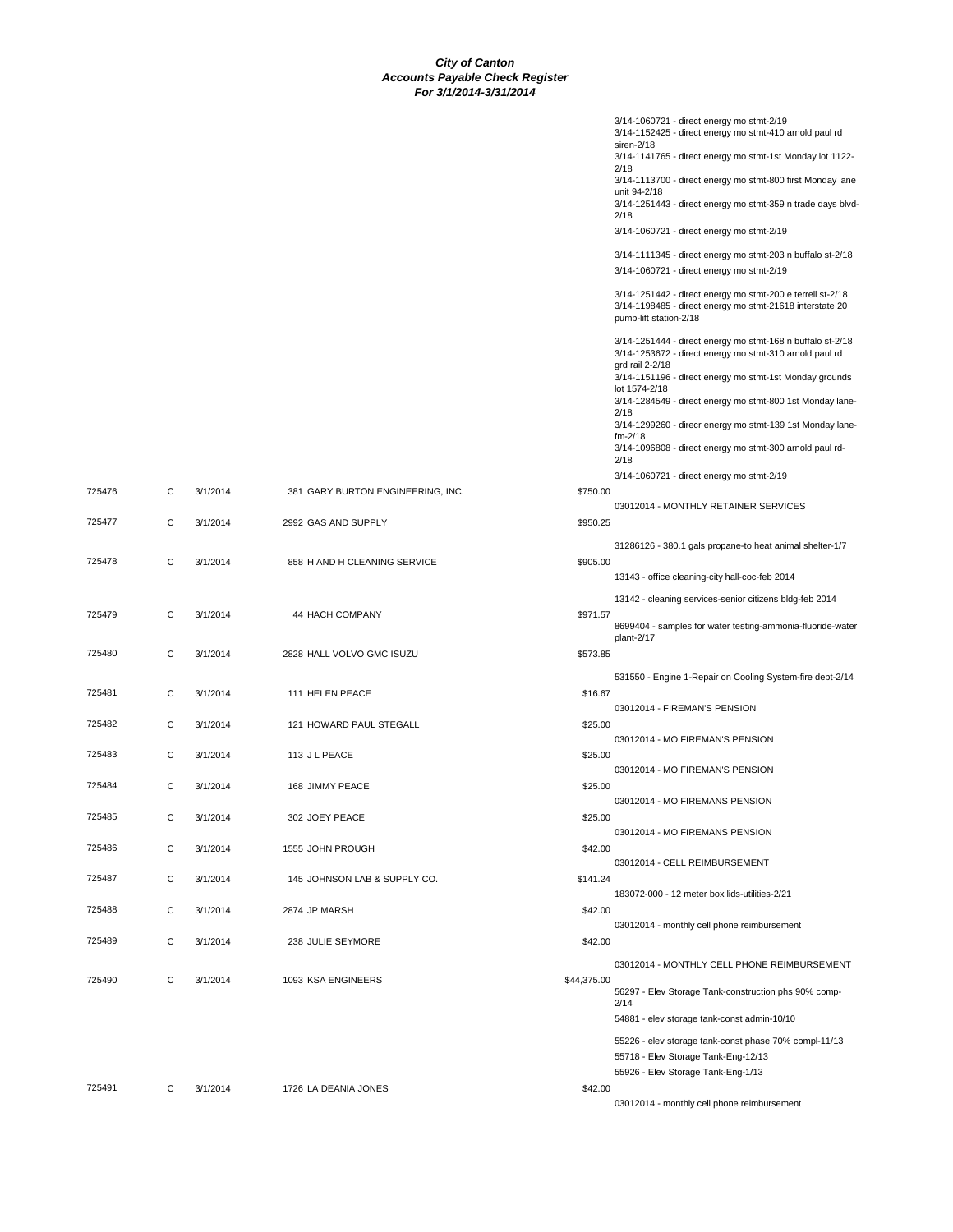|             | 3/14-1060721 - direct energy mo stmt-2/19<br>3/14-1152425 - direct energy mo stmt-410 arnold paul rd<br>siren-2/18                               |
|-------------|--------------------------------------------------------------------------------------------------------------------------------------------------|
|             | 3/14-1141765 - direct energy mo stmt-1st Monday lot 1122-<br>2/18                                                                                |
|             | 3/14-1113700 - direct energy mo stmt-800 first Monday lane<br>unit 94-2/18                                                                       |
|             | 3/14-1251443 - direct energy mo stmt-359 n trade days blvd-<br>2/18                                                                              |
|             | 3/14-1060721 - direct energy mo stmt-2/19                                                                                                        |
|             | 3/14-1111345 - direct energy mo stmt-203 n buffalo st-2/18                                                                                       |
|             | 3/14-1060721 - direct energy mo stmt-2/19                                                                                                        |
|             | 3/14-1251442 - direct energy mo stmt-200 e terrell st-2/18<br>3/14-1198485 - direct energy mo stmt-21618 interstate 20<br>pump-lift station-2/18 |
|             | 3/14-1251444 - direct energy mo stmt-168 n buffalo st-2/18<br>3/14-1253672 - direct energy mo stmt-310 arnold paul rd                            |
|             | grd rail 2-2/18<br>3/14-1151196 - direct energy mo stmt-1st Monday grounds                                                                       |
|             | lot 1574-2/18<br>3/14-1284549 - direct energy mo stmt-800 1st Monday lane-                                                                       |
|             | 2/18<br>3/14-1299260 - direcr energy mo stmt-139 1st Monday lane-                                                                                |
|             | $fm-2/18$<br>3/14-1096808 - direct energy mo stmt-300 arnold paul rd-                                                                            |
|             | 2/18<br>3/14-1060721 - direct energy mo stmt-2/19                                                                                                |
| \$750.00    |                                                                                                                                                  |
| \$950.25    | 03012014 - MONTHLY RETAINER SERVICES                                                                                                             |
|             | 31286126 - 380.1 gals propane-to heat animal shelter-1/7                                                                                         |
| \$905.00    | 13143 - office cleaning-city hall-coc-feb 2014                                                                                                   |
|             | 13142 - cleaning services-senior citizens bldg-feb 2014                                                                                          |
| \$971.57    | 8699404 - samples for water testing-ammonia-fluoride-water<br>plant-2/17                                                                         |
| \$573.85    |                                                                                                                                                  |
| \$16.67     | 531550 - Engine 1-Repair on Cooling System-fire dept-2/14                                                                                        |
|             | 03012014 - FIREMAN'S PENSION                                                                                                                     |
| \$25.00     | 03012014 - MO FIREMAN'S PENSION                                                                                                                  |
| \$25.00     | 03012014 - MO FIREMAN'S PENSION                                                                                                                  |
| \$25.00     |                                                                                                                                                  |
| \$25.00     | 03012014 - MO FIREMANS PENSION                                                                                                                   |
|             | 03012014 - MO FIREMANS PENSION                                                                                                                   |
| \$42.00     | 03012014 - CELL REIMBURSEMENT                                                                                                                    |
| \$141.24    | 183072-000 - 12 meter box lids-utilities-2/21                                                                                                    |
| \$42.00     |                                                                                                                                                  |
| \$42.00     | 03012014 - monthly cell phone reimbursement                                                                                                      |
|             | 03012014 - MONTHLY CELL PHONE REIMBURSEMENT                                                                                                      |
| \$44,375.00 | 56297 - Elev Storage Tank-construction phs 90% comp-                                                                                             |
|             | 2/14<br>54881 - elev storage tank-const admin-10/10                                                                                              |
|             | 55226 - elev storage tank-const phase 70% compl-11/13                                                                                            |
|             | 55718 - Elev Storage Tank-Eng-12/13                                                                                                              |
| \$42.00     | 55926 - Elev Storage Tank-Eng-1/13                                                                                                               |
|             | 03012014 - monthly cell phone reimbursement                                                                                                      |

725476 C 3/1/2014 381 GARY BURTON ENGINEERING, INC. 725477 C 3/1/2014 2992 GAS AND SUPPLY 725478 C 3/1/2014 858 H AND H CLEANING SERVICE 725479 C 3/1/2014 44 HACH COMPANY 725480 C 3/1/2014 2828 HALL VOLVO GMC ISUZU 725481 C 3/1/2014 111 HELEN PEACE 725482 C 3/1/2014 121 HOWARD PAUL STEGALL 725483 C 3/1/2014 113 J L PEACE 725484 C 3/1/2014 168 JIMMY PEACE 725485 C 3/1/2014 302 JOEY PEACE 725486 C 3/1/2014 1555 JOHN PROUGH 725487 C 3/1/2014 145 JOHNSON LAB & SUPPLY CO. 725488 C 3/1/2014 2874 JP MARSH 725489 C 3/1/2014 238 JULIE SEYMORE 725490 C 3/1/2014 1093 KSA ENGINEERS

725491 C 3/1/2014 1726 LA DEANIA JONES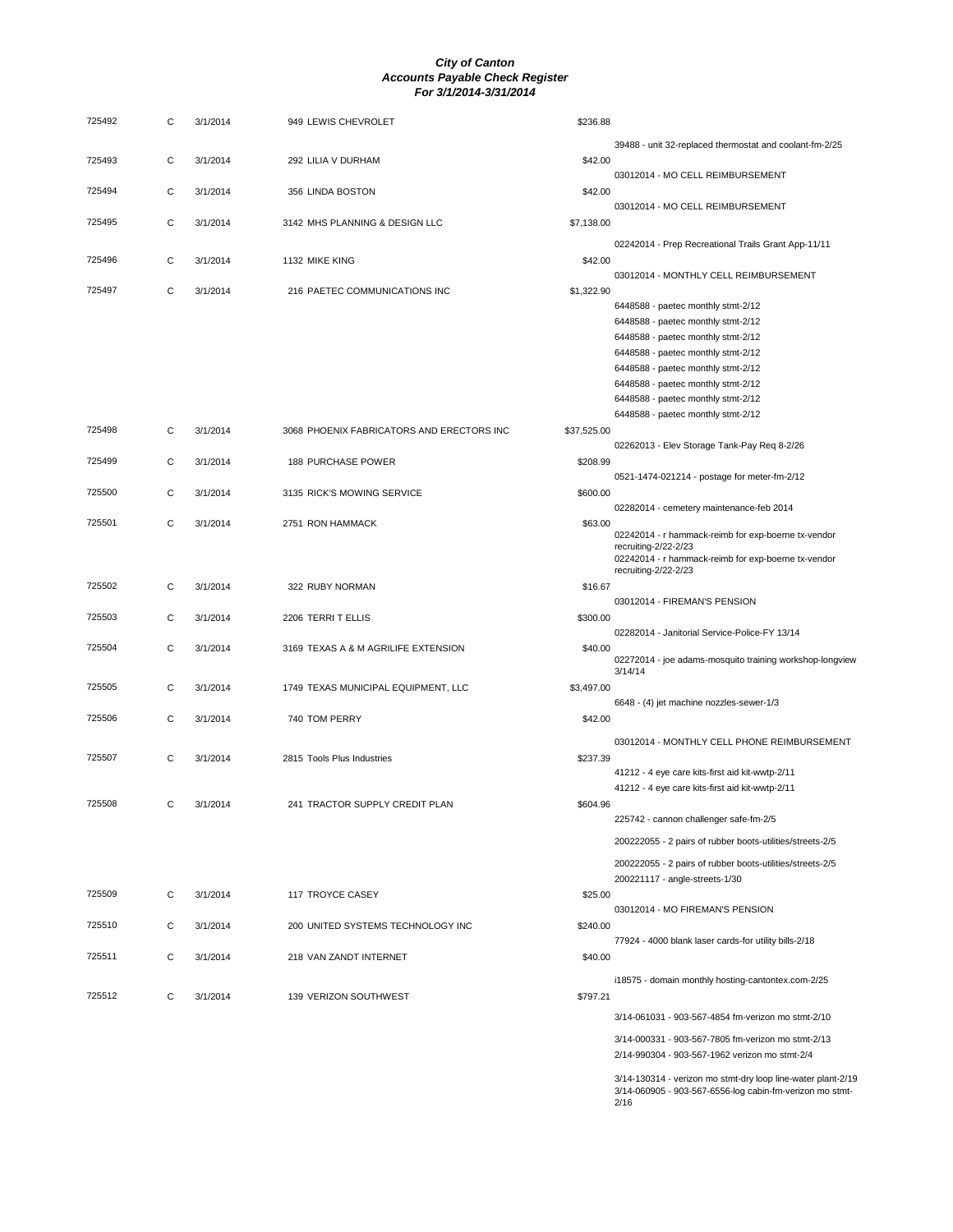| 725492 | С | 3/1/2014 | 949 LEWIS CHEVROLET                       | \$236.88    |                                                                             |
|--------|---|----------|-------------------------------------------|-------------|-----------------------------------------------------------------------------|
|        |   |          |                                           |             | 39488 - unit 32-replaced thermostat and coolant-fm-2/25                     |
| 725493 | С | 3/1/2014 | 292 LILIA V DURHAM                        | \$42.00     | 03012014 - MO CELL REIMBURSEMENT                                            |
| 725494 | C | 3/1/2014 | 356 LINDA BOSTON                          | \$42.00     |                                                                             |
|        |   |          |                                           |             | 03012014 - MO CELL REIMBURSEMENT                                            |
| 725495 | C | 3/1/2014 | 3142 MHS PLANNING & DESIGN LLC            | \$7,138.00  |                                                                             |
| 725496 | C | 3/1/2014 | 1132 MIKE KING                            | \$42.00     | 02242014 - Prep Recreational Trails Grant App-11/11                         |
|        |   |          |                                           |             | 03012014 - MONTHLY CELL REIMBURSEMENT                                       |
| 725497 | C | 3/1/2014 | 216 PAETEC COMMUNICATIONS INC             | \$1,322.90  |                                                                             |
|        |   |          |                                           |             | 6448588 - paetec monthly stmt-2/12                                          |
|        |   |          |                                           |             | 6448588 - paetec monthly stmt-2/12                                          |
|        |   |          |                                           |             | 6448588 - paetec monthly stmt-2/12<br>6448588 - paetec monthly stmt-2/12    |
|        |   |          |                                           |             | 6448588 - paetec monthly stmt-2/12                                          |
|        |   |          |                                           |             | 6448588 - paetec monthly stmt-2/12                                          |
|        |   |          |                                           |             | 6448588 - paetec monthly stmt-2/12                                          |
|        |   |          |                                           |             | 6448588 - paetec monthly stmt-2/12                                          |
| 725498 | С | 3/1/2014 | 3068 PHOENIX FABRICATORS AND ERECTORS INC | \$37,525.00 |                                                                             |
|        |   |          |                                           |             | 02262013 - Elev Storage Tank-Pay Req 8-2/26                                 |
| 725499 | C | 3/1/2014 | <b>188 PURCHASE POWER</b>                 | \$208.99    |                                                                             |
|        |   |          |                                           |             | 0521-1474-021214 - postage for meter-fm-2/12                                |
| 725500 | C | 3/1/2014 | 3135 RICK'S MOWING SERVICE                | \$600.00    |                                                                             |
|        |   |          |                                           |             | 02282014 - cemetery maintenance-feb 2014                                    |
| 725501 | C | 3/1/2014 | 2751 RON HAMMACK                          | \$63.00     |                                                                             |
|        |   |          |                                           |             | 02242014 - r hammack-reimb for exp-boerne tx-vendor<br>recruiting-2/22-2/23 |
|        |   |          |                                           |             | 02242014 - r hammack-reimb for exp-boerne tx-vendor                         |
|        |   |          |                                           |             | recruiting-2/22-2/23                                                        |
| 725502 | C | 3/1/2014 | 322 RUBY NORMAN                           | \$16.67     |                                                                             |
|        |   |          |                                           |             | 03012014 - FIREMAN'S PENSION                                                |
| 725503 | С | 3/1/2014 | 2206 TERRIT ELLIS                         | \$300.00    |                                                                             |
|        |   |          |                                           |             | 02282014 - Janitorial Service-Police-FY 13/14                               |
| 725504 | C | 3/1/2014 | 3169 TEXAS A & M AGRILIFE EXTENSION       | \$40.00     | 02272014 - joe adams-mosquito training workshop-longview                    |
|        |   |          |                                           |             | 3/14/14                                                                     |
| 725505 | C | 3/1/2014 | 1749 TEXAS MUNICIPAL EQUIPMENT, LLC       | \$3,497.00  |                                                                             |
|        |   |          |                                           |             | 6648 - (4) jet machine nozzles-sewer-1/3                                    |
| 725506 | C | 3/1/2014 | 740 TOM PERRY                             | \$42.00     |                                                                             |
|        |   |          |                                           |             | 03012014 - MONTHLY CELL PHONE REIMBURSEMENT                                 |
| 725507 | С | 3/1/2014 | 2815 Tools Plus Industries                | \$237.39    |                                                                             |
|        |   |          |                                           |             | 41212 - 4 eye care kits-first aid kit-wwtp-2/11                             |
|        |   |          |                                           |             | 41212 - 4 eye care kits-first aid kit-wwtp-2/11                             |
| 725508 | C | 3/1/2014 | 241 TRACTOR SUPPLY CREDIT PLAN            | \$604.96    |                                                                             |
|        |   |          |                                           |             | 225742 - cannon challenger safe-fm-2/5                                      |
|        |   |          |                                           |             | 200222055 - 2 pairs of rubber boots-utilities/streets-2/5                   |
|        |   |          |                                           |             | 200222055 - 2 pairs of rubber boots-utilities/streets-2/5                   |
|        |   |          |                                           |             | 200221117 - angle-streets-1/30                                              |
| 725509 | С | 3/1/2014 | <b>117 TROYCE CASEY</b>                   | \$25.00     |                                                                             |
|        |   |          |                                           |             | 03012014 - MO FIREMAN'S PENSION                                             |
| 725510 | C | 3/1/2014 | 200 UNITED SYSTEMS TECHNOLOGY INC         | \$240.00    |                                                                             |
|        |   |          |                                           |             | 77924 - 4000 blank laser cards-for utility bills-2/18                       |
| 725511 | C | 3/1/2014 | 218 VAN ZANDT INTERNET                    | \$40.00     |                                                                             |
|        |   |          |                                           |             | i18575 - domain monthly hosting-cantontex.com-2/25                          |
| 725512 | C | 3/1/2014 | 139 VERIZON SOUTHWEST                     | \$797.21    |                                                                             |
|        |   |          |                                           |             | 3/14-061031 - 903-567-4854 fm-verizon mo stmt-2/10                          |
|        |   |          |                                           |             |                                                                             |
|        |   |          |                                           |             | 3/14-000331 - 903-567-7805 fm-verizon mo stmt-2/13                          |
|        |   |          |                                           |             | 2/14-990304 - 903-567-1962 verizon mo stmt-2/4                              |
|        |   |          |                                           |             | 3/14-130314 - verizon mo stmt-dry loop line-water plant-2/19                |
|        |   |          |                                           |             | 3/14-060905 - 903-567-6556-log cabin-fm-verizon mo stmt-                    |
|        |   |          |                                           |             | 2/16                                                                        |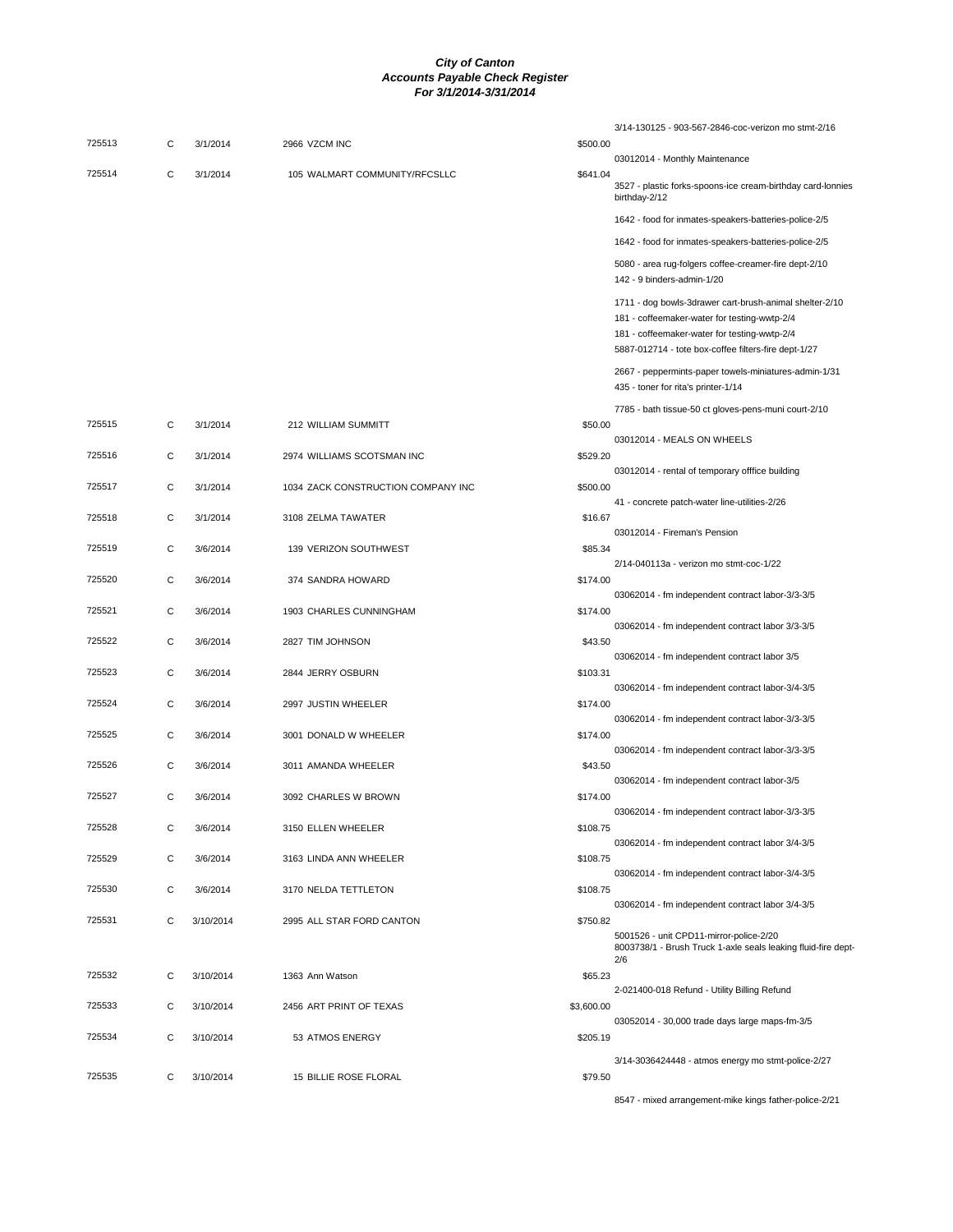| 725513 | С | 3/1/2014  | 2966 VZCM INC                      | \$500.00   | 3/14-130125 - 903-567-2846-coc-verizon mo stmt-2/16                                                                                                                                                             |
|--------|---|-----------|------------------------------------|------------|-----------------------------------------------------------------------------------------------------------------------------------------------------------------------------------------------------------------|
|        |   |           |                                    |            | 03012014 - Monthly Maintenance                                                                                                                                                                                  |
| 725514 | C | 3/1/2014  | 105 WALMART COMMUNITY/RFCSLLC      | \$641.04   | 3527 - plastic forks-spoons-ice cream-birthday card-lonnies<br>birthday-2/12                                                                                                                                    |
|        |   |           |                                    |            | 1642 - food for inmates-speakers-batteries-police-2/5                                                                                                                                                           |
|        |   |           |                                    |            | 1642 - food for inmates-speakers-batteries-police-2/5                                                                                                                                                           |
|        |   |           |                                    |            | 5080 - area rug-folgers coffee-creamer-fire dept-2/10<br>142 - 9 binders-admin-1/20                                                                                                                             |
|        |   |           |                                    |            | 1711 - dog bowls-3drawer cart-brush-animal shelter-2/10<br>181 - coffeemaker-water for testing-wwtp-2/4<br>181 - coffeemaker-water for testing-wwtp-2/4<br>5887-012714 - tote box-coffee filters-fire dept-1/27 |
|        |   |           |                                    |            | 2667 - peppermints-paper towels-miniatures-admin-1/31<br>435 - toner for rita's printer-1/14                                                                                                                    |
|        |   |           |                                    |            | 7785 - bath tissue-50 ct gloves-pens-muni court-2/10                                                                                                                                                            |
| 725515 | C | 3/1/2014  | 212 WILLIAM SUMMITT                | \$50.00    | 03012014 - MEALS ON WHEELS                                                                                                                                                                                      |
| 725516 | C | 3/1/2014  | 2974 WILLIAMS SCOTSMAN INC         | \$529.20   |                                                                                                                                                                                                                 |
|        |   |           |                                    |            | 03012014 - rental of temporary offfice building                                                                                                                                                                 |
| 725517 | C | 3/1/2014  | 1034 ZACK CONSTRUCTION COMPANY INC | \$500.00   | 41 - concrete patch-water line-utilities-2/26                                                                                                                                                                   |
| 725518 | С | 3/1/2014  | 3108 ZELMA TAWATER                 | \$16.67    |                                                                                                                                                                                                                 |
| 725519 | C | 3/6/2014  | 139 VERIZON SOUTHWEST              | \$85.34    | 03012014 - Fireman's Pension                                                                                                                                                                                    |
|        |   |           |                                    |            | 2/14-040113a - verizon mo stmt-coc-1/22                                                                                                                                                                         |
| 725520 | C | 3/6/2014  | 374 SANDRA HOWARD                  | \$174.00   |                                                                                                                                                                                                                 |
| 725521 | C | 3/6/2014  | 1903 CHARLES CUNNINGHAM            | \$174.00   | 03062014 - fm independent contract labor-3/3-3/5                                                                                                                                                                |
|        |   |           |                                    |            | 03062014 - fm independent contract labor 3/3-3/5                                                                                                                                                                |
| 725522 | C | 3/6/2014  | 2827 TIM JOHNSON                   | \$43.50    | 03062014 - fm independent contract labor 3/5                                                                                                                                                                    |
| 725523 | C | 3/6/2014  | 2844 JERRY OSBURN                  | \$103.31   |                                                                                                                                                                                                                 |
|        |   |           |                                    |            | 03062014 - fm independent contract labor-3/4-3/5                                                                                                                                                                |
| 725524 | С | 3/6/2014  | 2997 JUSTIN WHEELER                | \$174.00   | 03062014 - fm independent contract labor-3/3-3/5                                                                                                                                                                |
| 725525 | C | 3/6/2014  | 3001 DONALD W WHEELER              | \$174.00   |                                                                                                                                                                                                                 |
| 725526 |   |           |                                    |            | 03062014 - fm independent contract labor-3/3-3/5                                                                                                                                                                |
|        | С | 3/6/2014  | 3011 AMANDA WHEELER                | \$43.50    | 03062014 - fm independent contract labor-3/5                                                                                                                                                                    |
| 725527 | С | 3/6/2014  | 3092 CHARLES W BROWN               | \$174.00   |                                                                                                                                                                                                                 |
| 725528 | C | 3/6/2014  | 3150 ELLEN WHEELER                 | \$108.75   | 03062014 - fm independent contract labor-3/3-3/5                                                                                                                                                                |
|        |   |           |                                    |            | 03062014 - fm independent contract labor 3/4-3/5                                                                                                                                                                |
| 725529 | C | 3/6/2014  | 3163 LINDA ANN WHEELER             | \$108.75   |                                                                                                                                                                                                                 |
| 725530 | С | 3/6/2014  | 3170 NELDA TETTLETON               | \$108.75   | 03062014 - fm independent contract labor-3/4-3/5                                                                                                                                                                |
|        |   |           |                                    |            | 03062014 - fm independent contract labor 3/4-3/5                                                                                                                                                                |
| 725531 | C | 3/10/2014 | 2995 ALL STAR FORD CANTON          | \$750.82   | 5001526 - unit CPD11-mirror-police-2/20                                                                                                                                                                         |
|        |   |           |                                    |            | 8003738/1 - Brush Truck 1-axle seals leaking fluid-fire dept-<br>2/6                                                                                                                                            |
| 725532 | С | 3/10/2014 | 1363 Ann Watson                    | \$65.23    |                                                                                                                                                                                                                 |
|        |   |           |                                    |            | 2-021400-018 Refund - Utility Billing Refund                                                                                                                                                                    |
| 725533 | C | 3/10/2014 | 2456 ART PRINT OF TEXAS            | \$3,600.00 | 03052014 - 30,000 trade days large maps-fm-3/5                                                                                                                                                                  |
| 725534 | С | 3/10/2014 | 53 ATMOS ENERGY                    | \$205.19   |                                                                                                                                                                                                                 |
|        |   |           |                                    |            | 3/14-3036424448 - atmos energy mo stmt-police-2/27                                                                                                                                                              |
| 725535 | С | 3/10/2014 | 15 BILLIE ROSE FLORAL              | \$79.50    |                                                                                                                                                                                                                 |
|        |   |           |                                    |            | 8547 - mixed arrangement-mike kings father-police-2/21                                                                                                                                                          |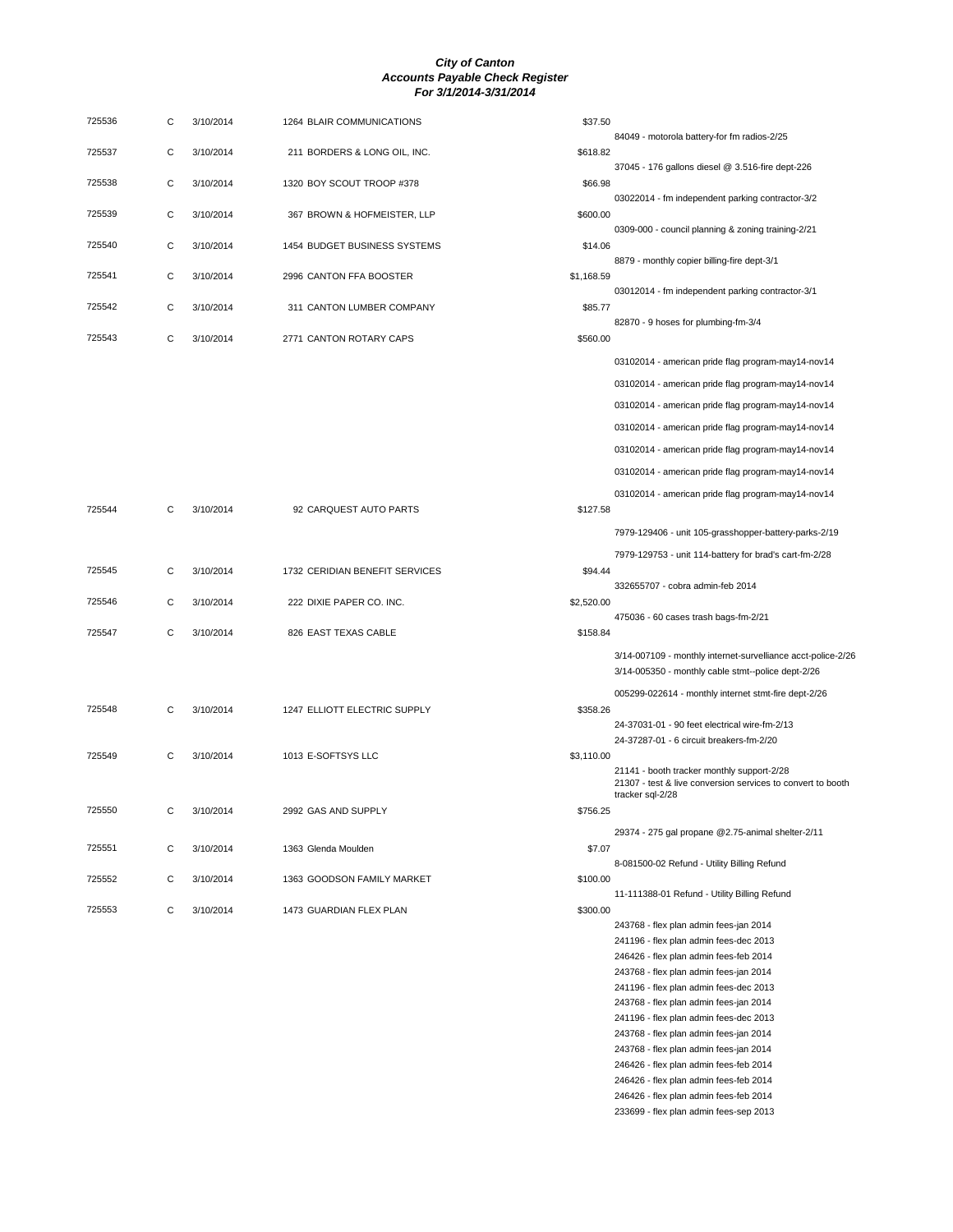| 725536 | С | 3/10/2014 | 1264 BLAIR COMMUNICATIONS      | \$37.50    |                                                                                                                               |
|--------|---|-----------|--------------------------------|------------|-------------------------------------------------------------------------------------------------------------------------------|
| 725537 | C | 3/10/2014 | 211 BORDERS & LONG OIL, INC.   | \$618.82   | 84049 - motorola battery-for fm radios-2/25                                                                                   |
|        |   |           |                                |            | 37045 - 176 gallons diesel @ 3.516-fire dept-226                                                                              |
| 725538 | С | 3/10/2014 | 1320 BOY SCOUT TROOP #378      | \$66.98    | 03022014 - fm independent parking contractor-3/2                                                                              |
| 725539 | С | 3/10/2014 | 367 BROWN & HOFMEISTER, LLP    | \$600.00   |                                                                                                                               |
|        |   |           |                                |            | 0309-000 - council planning & zoning training-2/21                                                                            |
| 725540 | С | 3/10/2014 | 1454 BUDGET BUSINESS SYSTEMS   | \$14.06    | 8879 - monthly copier billing-fire dept-3/1                                                                                   |
| 725541 | С | 3/10/2014 | 2996 CANTON FFA BOOSTER        | \$1,168.59 |                                                                                                                               |
| 725542 | С | 3/10/2014 | 311 CANTON LUMBER COMPANY      | \$85.77    | 03012014 - fm independent parking contractor-3/1                                                                              |
|        |   |           |                                |            | 82870 - 9 hoses for plumbing-fm-3/4                                                                                           |
| 725543 | C | 3/10/2014 | 2771 CANTON ROTARY CAPS        | \$560.00   |                                                                                                                               |
|        |   |           |                                |            | 03102014 - american pride flag program-may14-nov14                                                                            |
|        |   |           |                                |            | 03102014 - american pride flag program-may14-nov14                                                                            |
|        |   |           |                                |            | 03102014 - american pride flag program-may14-nov14                                                                            |
|        |   |           |                                |            | 03102014 - american pride flag program-may14-nov14                                                                            |
|        |   |           |                                |            | 03102014 - american pride flag program-may14-nov14                                                                            |
|        |   |           |                                |            | 03102014 - american pride flag program-may14-nov14                                                                            |
|        |   |           |                                |            | 03102014 - american pride flag program-may14-nov14                                                                            |
| 725544 | С | 3/10/2014 | 92 CARQUEST AUTO PARTS         | \$127.58   |                                                                                                                               |
|        |   |           |                                |            | 7979-129406 - unit 105-grasshopper-battery-parks-2/19                                                                         |
|        |   |           |                                |            | 7979-129753 - unit 114-battery for brad's cart-fm-2/28                                                                        |
| 725545 | С | 3/10/2014 | 1732 CERIDIAN BENEFIT SERVICES | \$94.44    | 332655707 - cobra admin-feb 2014                                                                                              |
| 725546 | С | 3/10/2014 | 222 DIXIE PAPER CO. INC.       | \$2,520.00 |                                                                                                                               |
|        |   |           |                                |            | 475036 - 60 cases trash bags-fm-2/21                                                                                          |
| 725547 | С | 3/10/2014 | 826 EAST TEXAS CABLE           | \$158.84   |                                                                                                                               |
|        |   |           |                                |            | 3/14-007109 - monthly internet-survelliance acct-police-2/26<br>3/14-005350 - monthly cable stmt--police dept-2/26            |
|        |   |           |                                |            | 005299-022614 - monthly internet stmt-fire dept-2/26                                                                          |
| 725548 | С | 3/10/2014 | 1247 ELLIOTT ELECTRIC SUPPLY   | \$358.26   |                                                                                                                               |
|        |   |           |                                |            | 24-37031-01 - 90 feet electrical wire-fm-2/13                                                                                 |
| 725549 | С | 3/10/2014 | 1013 E-SOFTSYS LLC             | \$3,110.00 | 24-37287-01 - 6 circuit breakers-fm-2/20                                                                                      |
|        |   |           |                                |            | 21141 - booth tracker monthly support-2/28<br>21307 - test & live conversion services to convert to booth<br>tracker sql-2/28 |
| 725550 | С | 3/10/2014 | 2992 GAS AND SUPPLY            | \$756.25   |                                                                                                                               |
|        |   |           |                                |            | 29374 - 275 gal propane @2.75-animal shelter-2/11                                                                             |
| 725551 | С | 3/10/2014 | 1363 Glenda Moulden            | \$7.07     | 8-081500-02 Refund - Utility Billing Refund                                                                                   |
| 725552 | С | 3/10/2014 | 1363 GOODSON FAMILY MARKET     | \$100.00   |                                                                                                                               |
|        |   |           |                                |            | 11-111388-01 Refund - Utility Billing Refund                                                                                  |
| 725553 | С | 3/10/2014 | 1473 GUARDIAN FLEX PLAN        | \$300.00   | 243768 - flex plan admin fees-jan 2014                                                                                        |
|        |   |           |                                |            | 241196 - flex plan admin fees-dec 2013                                                                                        |
|        |   |           |                                |            | 246426 - flex plan admin fees-feb 2014                                                                                        |
|        |   |           |                                |            | 243768 - flex plan admin fees-jan 2014                                                                                        |
|        |   |           |                                |            |                                                                                                                               |

241196 - flex plan admin fees-dec 2013 243768 - flex plan admin fees-jan 2014 241196 - flex plan admin fees-dec 2013 243768 - flex plan admin fees-jan 2014 243768 - flex plan admin fees-jan 2014 246426 - flex plan admin fees-feb 2014 246426 - flex plan admin fees-feb 2014 246426 - flex plan admin fees-feb 2014 233699 - flex plan admin fees-sep 2013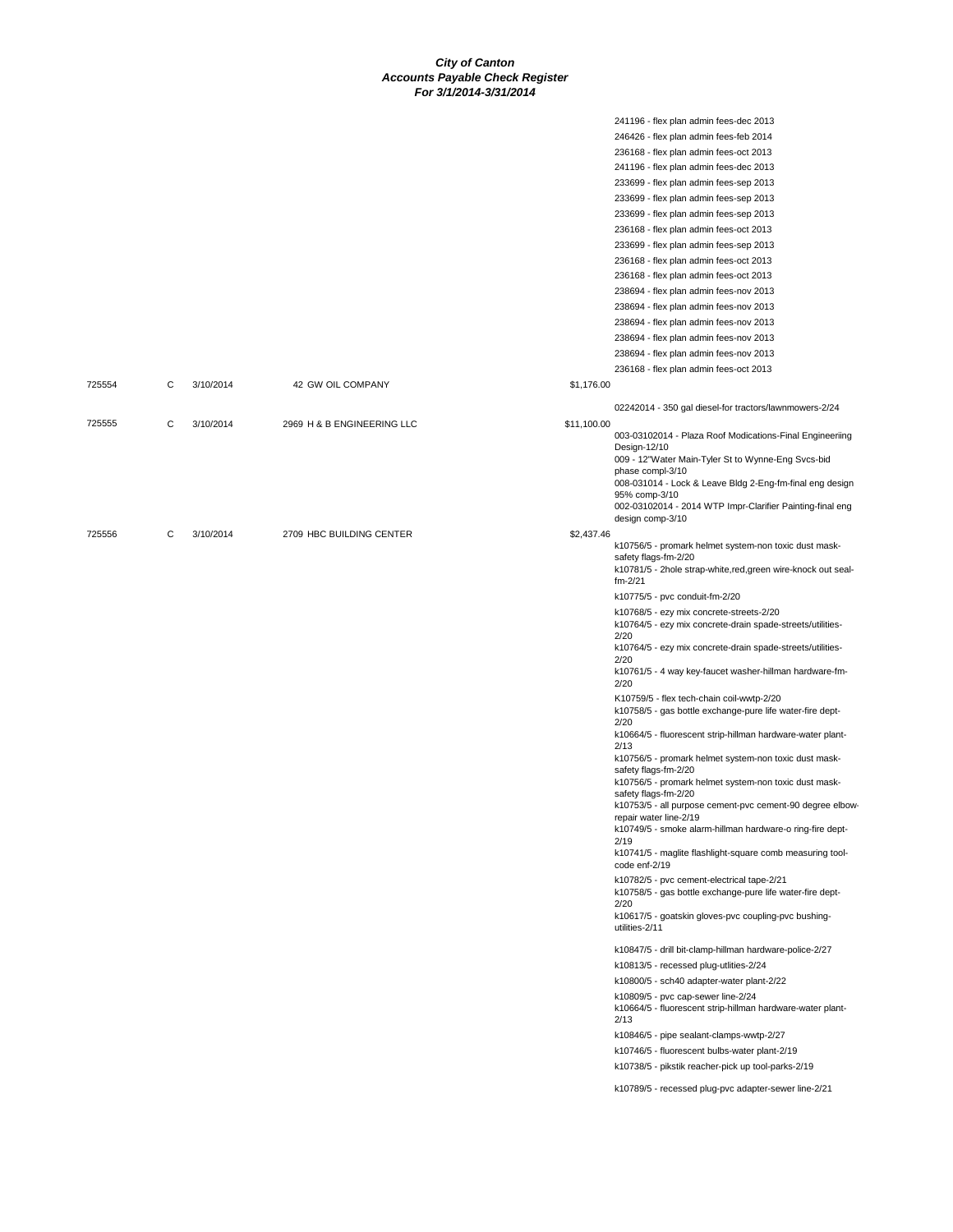|        |   |           |                            |             | 241196 - flex plan admin fees-dec 2013                                                                 |
|--------|---|-----------|----------------------------|-------------|--------------------------------------------------------------------------------------------------------|
|        |   |           |                            |             | 246426 - flex plan admin fees-feb 2014                                                                 |
|        |   |           |                            |             | 236168 - flex plan admin fees-oct 2013                                                                 |
|        |   |           |                            |             | 241196 - flex plan admin fees-dec 2013                                                                 |
|        |   |           |                            |             | 233699 - flex plan admin fees-sep 2013                                                                 |
|        |   |           |                            |             | 233699 - flex plan admin fees-sep 2013                                                                 |
|        |   |           |                            |             | 233699 - flex plan admin fees-sep 2013                                                                 |
|        |   |           |                            |             | 236168 - flex plan admin fees-oct 2013                                                                 |
|        |   |           |                            |             | 233699 - flex plan admin fees-sep 2013                                                                 |
|        |   |           |                            |             | 236168 - flex plan admin fees-oct 2013                                                                 |
|        |   |           |                            |             | 236168 - flex plan admin fees-oct 2013                                                                 |
|        |   |           |                            |             | 238694 - flex plan admin fees-nov 2013                                                                 |
|        |   |           |                            |             | 238694 - flex plan admin fees-nov 2013                                                                 |
|        |   |           |                            |             | 238694 - flex plan admin fees-nov 2013                                                                 |
|        |   |           |                            |             | 238694 - flex plan admin fees-nov 2013                                                                 |
|        |   |           |                            |             | 238694 - flex plan admin fees-nov 2013                                                                 |
|        |   |           |                            |             | 236168 - flex plan admin fees-oct 2013                                                                 |
| 725554 | С | 3/10/2014 | 42 GW OIL COMPANY          | \$1,176.00  |                                                                                                        |
|        |   |           |                            |             | 02242014 - 350 gal diesel-for tractors/lawnmowers-2/24                                                 |
| 725555 | C | 3/10/2014 | 2969 H & B ENGINEERING LLC | \$11,100.00 |                                                                                                        |
|        |   |           |                            |             | 003-03102014 - Plaza Roof Modications-Final Engineeriing                                               |
|        |   |           |                            |             | Design-12/10                                                                                           |
|        |   |           |                            |             | 009 - 12"Water Main-Tyler St to Wynne-Eng Svcs-bid<br>phase compl-3/10                                 |
|        |   |           |                            |             | 008-031014 - Lock & Leave Bldg 2-Eng-fm-final eng design                                               |
|        |   |           |                            |             | 95% comp-3/10                                                                                          |
|        |   |           |                            |             | 002-03102014 - 2014 WTP Impr-Clarifier Painting-final eng<br>design comp-3/10                          |
| 725556 | С | 3/10/2014 | 2709 HBC BUILDING CENTER   | \$2,437.46  |                                                                                                        |
|        |   |           |                            |             | k10756/5 - promark helmet system-non toxic dust mask-                                                  |
|        |   |           |                            |             | safety flags-fm-2/20                                                                                   |
|        |   |           |                            |             | k10781/5 - 2hole strap-white, red, green wire-knock out seal-<br>$fm - 2/21$                           |
|        |   |           |                            |             | k10775/5 - pvc conduit-fm-2/20                                                                         |
|        |   |           |                            |             |                                                                                                        |
|        |   |           |                            |             | k10768/5 - ezy mix concrete-streets-2/20<br>k10764/5 - ezy mix concrete-drain spade-streets/utilities- |
|        |   |           |                            |             | 2/20                                                                                                   |
|        |   |           |                            |             | k10764/5 - ezy mix concrete-drain spade-streets/utilities-                                             |
|        |   |           |                            |             | 2/20<br>k10761/5 - 4 way key-faucet washer-hillman hardware-fm-                                        |
|        |   |           |                            |             | 2/20                                                                                                   |
|        |   |           |                            |             | K10759/5 - flex tech-chain coil-wwtp-2/20                                                              |
|        |   |           |                            |             | k10758/5 - gas bottle exchange-pure life water-fire dept-                                              |
|        |   |           |                            |             | 2/20<br>k10664/5 - fluorescent strip-hillman hardware-water plant-                                     |
|        |   |           |                            |             | 2/13                                                                                                   |
|        |   |           |                            |             | k10756/5 - promark helmet system-non toxic dust mask-                                                  |
|        |   |           |                            |             | safety flags-fm-2/20<br>k10756/5 - promark helmet system-non toxic dust mask-                          |
|        |   |           |                            |             | safety flags-fm-2/20                                                                                   |
|        |   |           |                            |             | k10753/5 - all purpose cement-pvc cement-90 degree elbow-                                              |
|        |   |           |                            |             | repair water line-2/19<br>k10749/5 - smoke alarm-hillman hardware-o ring-fire dept-                    |
|        |   |           |                            |             | 2/19                                                                                                   |
|        |   |           |                            |             | k10741/5 - maglite flashlight-square comb measuring tool-<br>code enf-2/19                             |
|        |   |           |                            |             | k10782/5 - pvc cement-electrical tape-2/21                                                             |
|        |   |           |                            |             | k10758/5 - gas bottle exchange-pure life water-fire dept-                                              |
|        |   |           |                            |             | 2/20                                                                                                   |
|        |   |           |                            |             | k10617/5 - goatskin gloves-pvc coupling-pvc bushing-<br>utilities-2/11                                 |
|        |   |           |                            |             |                                                                                                        |
|        |   |           |                            |             | k10847/5 - drill bit-clamp-hillman hardware-police-2/27                                                |
|        |   |           |                            |             | k10813/5 - recessed plug-utlities-2/24                                                                 |
|        |   |           |                            |             | k10800/5 - sch40 adapter-water plant-2/22                                                              |
|        |   |           |                            |             | k10809/5 - pvc cap-sewer line-2/24                                                                     |
|        |   |           |                            |             | k10664/5 - fluorescent strip-hillman hardware-water plant-<br>2/13                                     |
|        |   |           |                            |             | k10846/5 - pipe sealant-clamps-wwtp-2/27                                                               |
|        |   |           |                            |             | k10746/5 - fluorescent bulbs-water plant-2/19                                                          |
|        |   |           |                            |             | k10738/5 - pikstik reacher-pick up tool-parks-2/19                                                     |
|        |   |           |                            |             |                                                                                                        |
|        |   |           |                            |             | k10789/5 - recessed plug-pvc adapter-sewer line-2/21                                                   |
|        |   |           |                            |             |                                                                                                        |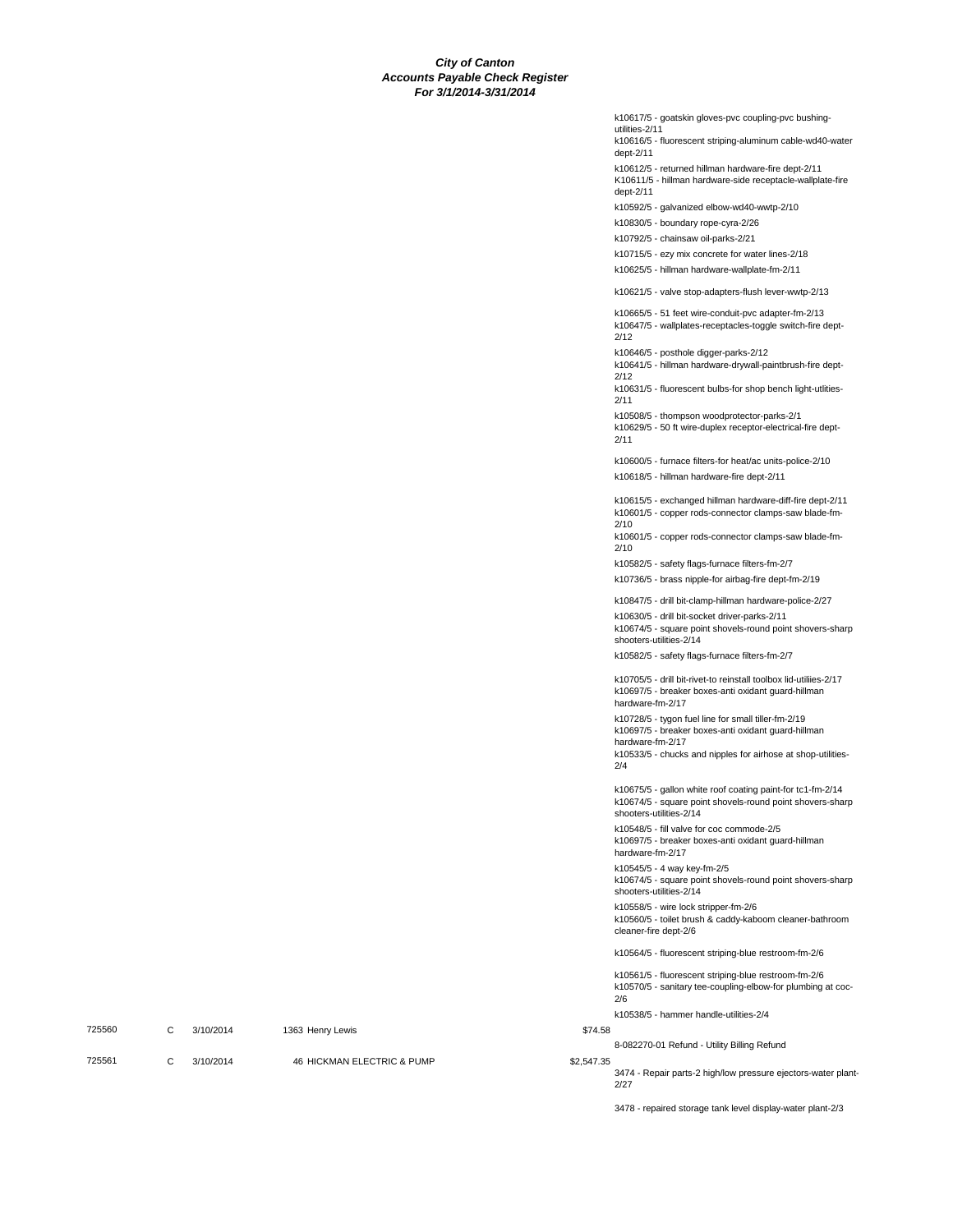|        |   |           |                            |            | k10617/5 - goatskin gloves-pvc coupling-pvc bushing-<br>utilities-2/11                                                                                                                                |
|--------|---|-----------|----------------------------|------------|-------------------------------------------------------------------------------------------------------------------------------------------------------------------------------------------------------|
|        |   |           |                            |            | k10616/5 - fluorescent striping-aluminum cable-wd40-water<br>dept-2/11                                                                                                                                |
|        |   |           |                            |            | k10612/5 - returned hillman hardware-fire dept-2/11<br>K10611/5 - hillman hardware-side receptacle-wallplate-fire<br>dept-2/11                                                                        |
|        |   |           |                            |            | k10592/5 - galvanized elbow-wd40-wwtp-2/10                                                                                                                                                            |
|        |   |           |                            |            | k10830/5 - boundary rope-cyra-2/26                                                                                                                                                                    |
|        |   |           |                            |            | k10792/5 - chainsaw oil-parks-2/21                                                                                                                                                                    |
|        |   |           |                            |            | k10715/5 - ezy mix concrete for water lines-2/18<br>k10625/5 - hillman hardware-wallplate-fm-2/11                                                                                                     |
|        |   |           |                            |            | k10621/5 - valve stop-adapters-flush lever-wwtp-2/13                                                                                                                                                  |
|        |   |           |                            |            | k10665/5 - 51 feet wire-conduit-pvc adapter-fm-2/13<br>k10647/5 - wallplates-receptacles-toggle switch-fire dept-                                                                                     |
|        |   |           |                            |            | 2/12<br>k10646/5 - posthole digger-parks-2/12<br>k10641/5 - hillman hardware-drywall-paintbrush-fire dept-                                                                                            |
|        |   |           |                            |            | 2/12<br>k10631/5 - fluorescent bulbs-for shop bench light-utlities-<br>2/11                                                                                                                           |
|        |   |           |                            |            | k10508/5 - thompson woodprotector-parks-2/1<br>k10629/5 - 50 ft wire-duplex receptor-electrical-fire dept-<br>2/11                                                                                    |
|        |   |           |                            |            | k10600/5 - furnace filters-for heat/ac units-police-2/10                                                                                                                                              |
|        |   |           |                            |            | k10618/5 - hillman hardware-fire dept-2/11                                                                                                                                                            |
|        |   |           |                            |            | k10615/5 - exchanged hillman hardware-diff-fire dept-2/11<br>k10601/5 - copper rods-connector clamps-saw blade-fm-                                                                                    |
|        |   |           |                            |            | 2/10<br>k10601/5 - copper rods-connector clamps-saw blade-fm-<br>2/10                                                                                                                                 |
|        |   |           |                            |            | k10582/5 - safety flags-furnace filters-fm-2/7                                                                                                                                                        |
|        |   |           |                            |            | k10736/5 - brass nipple-for airbag-fire dept-fm-2/19                                                                                                                                                  |
|        |   |           |                            |            | k10847/5 - drill bit-clamp-hillman hardware-police-2/27<br>k10630/5 - drill bit-socket driver-parks-2/11<br>k10674/5 - square point shovels-round point shovers-sharp<br>shooters-utilities-2/14      |
|        |   |           |                            |            | k10582/5 - safety flags-furnace filters-fm-2/7                                                                                                                                                        |
|        |   |           |                            |            | k10705/5 - drill bit-rivet-to reinstall toolbox lid-utiliies-2/17<br>k10697/5 - breaker boxes-anti oxidant guard-hillman<br>hardware-fm-2/17                                                          |
|        |   |           |                            |            | k10728/5 - tygon fuel line for small tiller-fm-2/19<br>k10697/5 - breaker boxes-anti oxidant guard-hillman<br>hardware-fm-2/17<br>k10533/5 - chucks and nipples for airhose at shop-utilities-<br>2/4 |
|        |   |           |                            |            | k10675/5 - gallon white roof coating paint-for tc1-fm-2/14<br>k10674/5 - square point shovels-round point shovers-sharp<br>shooters-utilities-2/14                                                    |
|        |   |           |                            |            | k10548/5 - fill valve for coc commode-2/5<br>k10697/5 - breaker boxes-anti oxidant guard-hillman<br>hardware-fm-2/17                                                                                  |
|        |   |           |                            |            | k10545/5 - 4 way key-fm-2/5<br>k10674/5 - square point shovels-round point shovers-sharp<br>shooters-utilities-2/14                                                                                   |
|        |   |           |                            |            | k10558/5 - wire lock stripper-fm-2/6<br>k10560/5 - toilet brush & caddy-kaboom cleaner-bathroom<br>cleaner-fire dept-2/6                                                                              |
|        |   |           |                            |            | k10564/5 - fluorescent striping-blue restroom-fm-2/6                                                                                                                                                  |
|        |   |           |                            |            | k10561/5 - fluorescent striping-blue restroom-fm-2/6<br>k10570/5 - sanitary tee-coupling-elbow-for plumbing at coc-<br>2/6                                                                            |
|        |   |           |                            |            | k10538/5 - hammer handle-utilities-2/4                                                                                                                                                                |
| 725560 | C | 3/10/2014 | 1363 Henry Lewis           | \$74.58    | 8-082270-01 Refund - Utility Billing Refund                                                                                                                                                           |
| 725561 | C | 3/10/2014 | 46 HICKMAN ELECTRIC & PUMP | \$2,547.35 | 3474 - Repair parts-2 high/low pressure ejectors-water plant<br>2/27                                                                                                                                  |

3478 - repaired storage tank level display-water plant-2/3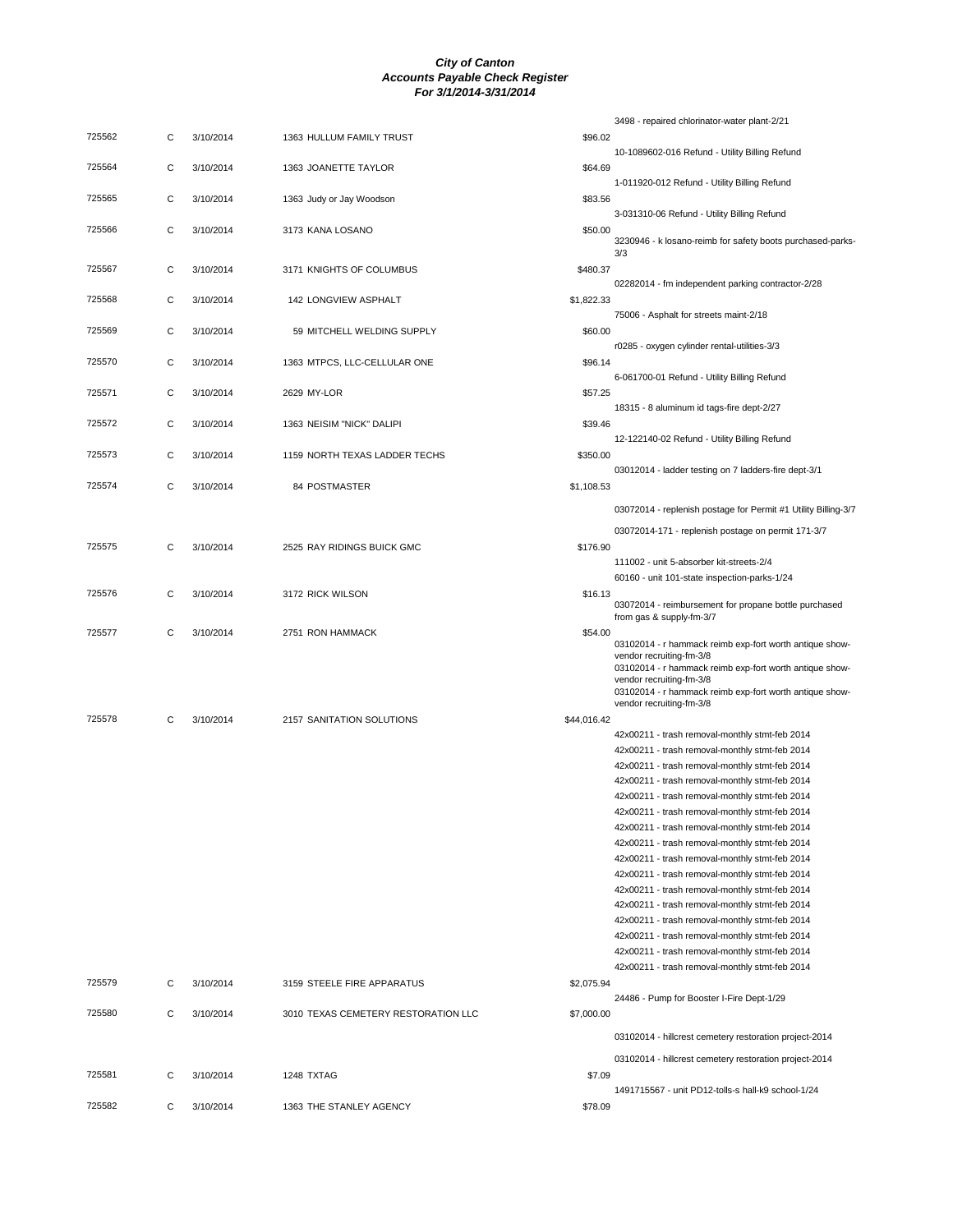|        |   |           |                                     |             | 3498 - repaired chlorinator-water plant-2/21                                                     |
|--------|---|-----------|-------------------------------------|-------------|--------------------------------------------------------------------------------------------------|
| 725562 | С | 3/10/2014 | 1363 HULLUM FAMILY TRUST            | \$96.02     | 10-1089602-016 Refund - Utility Billing Refund                                                   |
| 725564 | C | 3/10/2014 | 1363 JOANETTE TAYLOR                | \$64.69     |                                                                                                  |
| 725565 | С | 3/10/2014 | 1363 Judy or Jay Woodson            | \$83.56     | 1-011920-012 Refund - Utility Billing Refund                                                     |
|        |   |           |                                     |             | 3-031310-06 Refund - Utility Billing Refund                                                      |
| 725566 | С | 3/10/2014 | 3173 KANA LOSANO                    | \$50.00     | 3230946 - k losano-reimb for safety boots purchased-parks-<br>3/3                                |
| 725567 | C | 3/10/2014 | 3171 KNIGHTS OF COLUMBUS            | \$480.37    | 02282014 - fm independent parking contractor-2/28                                                |
| 725568 | С | 3/10/2014 | 142 LONGVIEW ASPHALT                | \$1,822.33  | 75006 - Asphalt for streets maint-2/18                                                           |
| 725569 | С | 3/10/2014 | 59 MITCHELL WELDING SUPPLY          | \$60.00     |                                                                                                  |
| 725570 | С | 3/10/2014 | 1363 MTPCS, LLC-CELLULAR ONE        | \$96.14     | r0285 - oxygen cylinder rental-utilities-3/3<br>6-061700-01 Refund - Utility Billing Refund      |
| 725571 | С | 3/10/2014 | 2629 MY-LOR                         | \$57.25     |                                                                                                  |
| 725572 | С | 3/10/2014 | 1363 NEISIM "NICK" DALIPI           | \$39.46     | 18315 - 8 aluminum id tags-fire dept-2/27                                                        |
| 725573 | С | 3/10/2014 | 1159 NORTH TEXAS LADDER TECHS       | \$350.00    | 12-122140-02 Refund - Utility Billing Refund                                                     |
| 725574 | С | 3/10/2014 | 84 POSTMASTER                       | \$1,108.53  | 03012014 - ladder testing on 7 ladders-fire dept-3/1                                             |
|        |   |           |                                     |             | 03072014 - replenish postage for Permit #1 Utility Billing-3/7                                   |
|        |   |           |                                     |             | 03072014-171 - replenish postage on permit 171-3/7                                               |
| 725575 | С | 3/10/2014 | 2525 RAY RIDINGS BUICK GMC          | \$176.90    |                                                                                                  |
|        |   |           |                                     |             | 111002 - unit 5-absorber kit-streets-2/4<br>60160 - unit 101-state inspection-parks-1/24         |
| 725576 | С | 3/10/2014 | 3172 RICK WILSON                    | \$16.13     | 03072014 - reimbursement for propane bottle purchased                                            |
|        |   |           |                                     |             | from gas & supply-fm-3/7                                                                         |
| 725577 | С | 3/10/2014 | 2751 RON HAMMACK                    | \$54.00     | 03102014 - r hammack reimb exp-fort worth antique show-                                          |
|        |   |           |                                     |             | vendor recruiting-fm-3/8<br>03102014 - r hammack reimb exp-fort worth antique show-              |
|        |   |           |                                     |             | vendor recruiting-fm-3/8<br>03102014 - r hammack reimb exp-fort worth antique show-              |
| 725578 | С | 3/10/2014 | 2157 SANITATION SOLUTIONS           | \$44,016.42 | vendor recruiting-fm-3/8                                                                         |
|        |   |           |                                     |             | 42x00211 - trash removal-monthly stmt-feb 2014                                                   |
|        |   |           |                                     |             | 42x00211 - trash removal-monthly stmt-feb 2014                                                   |
|        |   |           |                                     |             | 42x00211 - trash removal-monthly stmt-feb 2014                                                   |
|        |   |           |                                     |             | 42x00211 - trash removal-monthly stmt-feb 2014                                                   |
|        |   |           |                                     |             | 42x00211 - trash removal-monthly stmt-feb 2014                                                   |
|        |   |           |                                     |             | 42x00211 - trash removal-monthly stmt-feb 2014                                                   |
|        |   |           |                                     |             | 42x00211 - trash removal-monthly stmt-feb 2014                                                   |
|        |   |           |                                     |             | 42x00211 - trash removal-monthly stmt-feb 2014                                                   |
|        |   |           |                                     |             | 42x00211 - trash removal-monthly stmt-feb 2014                                                   |
|        |   |           |                                     |             | 42x00211 - trash removal-monthly stmt-feb 2014                                                   |
|        |   |           |                                     |             | 42x00211 - trash removal-monthly stmt-feb 2014                                                   |
|        |   |           |                                     |             | 42x00211 - trash removal-monthly stmt-feb 2014<br>42x00211 - trash removal-monthly stmt-feb 2014 |
|        |   |           |                                     |             |                                                                                                  |
|        |   |           |                                     |             | 42x00211 - trash removal-monthly stmt-feb 2014<br>42x00211 - trash removal-monthly stmt-feb 2014 |
|        |   |           |                                     |             | 42x00211 - trash removal-monthly stmt-feb 2014                                                   |
| 725579 | C | 3/10/2014 | 3159 STEELE FIRE APPARATUS          | \$2,075.94  |                                                                                                  |
|        |   |           |                                     |             | 24486 - Pump for Booster I-Fire Dept-1/29                                                        |
| 725580 | C | 3/10/2014 | 3010 TEXAS CEMETERY RESTORATION LLC | \$7,000.00  |                                                                                                  |
|        |   |           |                                     |             | 03102014 - hillcrest cemetery restoration project-2014                                           |
| 725581 | С | 3/10/2014 | 1248 TXTAG                          | \$7.09      | 03102014 - hillcrest cemetery restoration project-2014                                           |
|        |   |           |                                     |             | 1491715567 - unit PD12-tolls-s hall-k9 school-1/24                                               |
| 725582 | С | 3/10/2014 | 1363 THE STANLEY AGENCY             | \$78.09     |                                                                                                  |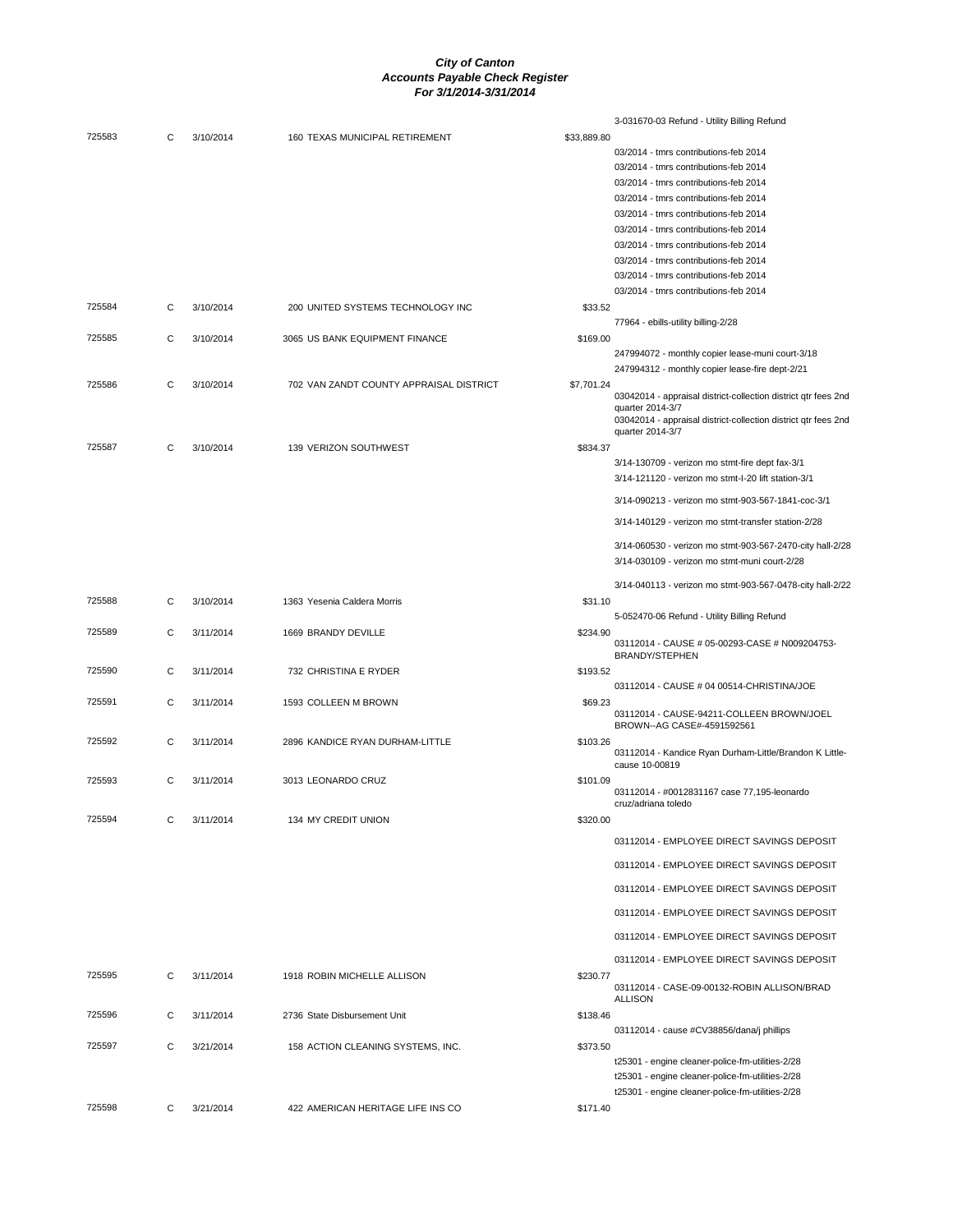|        |   |           |                                         |             | 3-031670-03 Refund - Utility Billing Refund                    |
|--------|---|-----------|-----------------------------------------|-------------|----------------------------------------------------------------|
| 725583 | С | 3/10/2014 | 160 TEXAS MUNICIPAL RETIREMENT          | \$33,889.80 |                                                                |
|        |   |           |                                         |             | 03/2014 - tmrs contributions-feb 2014                          |
|        |   |           |                                         |             | 03/2014 - tmrs contributions-feb 2014                          |
|        |   |           |                                         |             | 03/2014 - tmrs contributions-feb 2014                          |
|        |   |           |                                         |             | 03/2014 - tmrs contributions-feb 2014                          |
|        |   |           |                                         |             | 03/2014 - tmrs contributions-feb 2014                          |
|        |   |           |                                         |             | 03/2014 - tmrs contributions-feb 2014                          |
|        |   |           |                                         |             | 03/2014 - tmrs contributions-feb 2014                          |
|        |   |           |                                         |             | 03/2014 - tmrs contributions-feb 2014                          |
|        |   |           |                                         |             | 03/2014 - tmrs contributions-feb 2014                          |
|        |   |           |                                         |             | 03/2014 - tmrs contributions-feb 2014                          |
| 725584 | C | 3/10/2014 | 200 UNITED SYSTEMS TECHNOLOGY INC       | \$33.52     |                                                                |
|        |   |           |                                         |             | 77964 - ebills-utility billing-2/28                            |
| 725585 | C | 3/10/2014 | 3065 US BANK EQUIPMENT FINANCE          | \$169.00    |                                                                |
|        |   |           |                                         |             |                                                                |
|        |   |           |                                         |             | 247994072 - monthly copier lease-muni court-3/18               |
|        |   |           |                                         |             | 247994312 - monthly copier lease-fire dept-2/21                |
| 725586 | C | 3/10/2014 | 702 VAN ZANDT COUNTY APPRAISAL DISTRICT | \$7,701.24  | 03042014 - appraisal district-collection district qtr fees 2nd |
|        |   |           |                                         |             | quarter 2014-3/7                                               |
|        |   |           |                                         |             | 03042014 - appraisal district-collection district qtr fees 2nd |
|        |   |           |                                         |             | quarter 2014-3/7                                               |
| 725587 | C | 3/10/2014 | 139 VERIZON SOUTHWEST                   | \$834.37    |                                                                |
|        |   |           |                                         |             | 3/14-130709 - verizon mo stmt-fire dept fax-3/1                |
|        |   |           |                                         |             | 3/14-121120 - verizon mo stmt-I-20 lift station-3/1            |
|        |   |           |                                         |             |                                                                |
|        |   |           |                                         |             | 3/14-090213 - verizon mo stmt-903-567-1841-coc-3/1             |
|        |   |           |                                         |             | 3/14-140129 - verizon mo stmt-transfer station-2/28            |
|        |   |           |                                         |             | 3/14-060530 - verizon mo stmt-903-567-2470-city hall-2/28      |
|        |   |           |                                         |             | 3/14-030109 - verizon mo stmt-muni court-2/28                  |
|        |   |           |                                         |             |                                                                |
|        |   |           |                                         |             | 3/14-040113 - verizon mo stmt-903-567-0478-city hall-2/22      |
| 725588 | С | 3/10/2014 | 1363 Yesenia Caldera Morris             | \$31.10     |                                                                |
|        |   |           |                                         |             | 5-052470-06 Refund - Utility Billing Refund                    |
| 725589 | С | 3/11/2014 | 1669 BRANDY DEVILLE                     | \$234.90    |                                                                |
|        |   |           |                                         |             | 03112014 - CAUSE # 05-00293-CASE # N009204753-                 |
|        |   |           |                                         |             | <b>BRANDY/STEPHEN</b>                                          |
| 725590 | C | 3/11/2014 | 732 CHRISTINA E RYDER                   | \$193.52    |                                                                |
|        |   |           |                                         |             | 03112014 - CAUSE # 04 00514-CHRISTINA/JOE                      |
| 725591 | C | 3/11/2014 | 1593 COLLEEN M BROWN                    | \$69.23     | 03112014 - CAUSE-94211-COLLEEN BROWN/JOEL                      |
|        |   |           |                                         |             | BROWN--AG CASE#-4591592561                                     |
| 725592 | C | 3/11/2014 | 2896 KANDICE RYAN DURHAM-LITTLE         | \$103.26    |                                                                |
|        |   |           |                                         |             | 03112014 - Kandice Ryan Durham-Little/Brandon K Little-        |
|        |   |           |                                         |             | cause 10-00819                                                 |
| 725593 | С | 3/11/2014 | 3013 LEONARDO CRUZ                      | \$101.09    |                                                                |
|        |   |           |                                         |             | 03112014 - #0012831167 case 77,195-leonardo                    |
|        |   |           |                                         |             | cruz/adriana toledo                                            |
| 725594 |   | 3/11/2014 | 134 MY CREDIT UNION                     | \$320.00    |                                                                |
|        |   |           |                                         |             | 03112014 - EMPLOYEE DIRECT SAVINGS DEPOSIT                     |
|        |   |           |                                         |             | 03112014 - EMPLOYEE DIRECT SAVINGS DEPOSIT                     |
|        |   |           |                                         |             |                                                                |
|        |   |           |                                         |             | 03112014 - EMPLOYEE DIRECT SAVINGS DEPOSIT                     |
|        |   |           |                                         |             | 03112014 - EMPLOYEE DIRECT SAVINGS DEPOSIT                     |
|        |   |           |                                         |             | 03112014 - EMPLOYEE DIRECT SAVINGS DEPOSIT                     |
|        |   |           |                                         |             | 03112014 - EMPLOYEE DIRECT SAVINGS DEPOSIT                     |
| 725595 | C | 3/11/2014 | 1918 ROBIN MICHELLE ALLISON             | \$230.77    |                                                                |
|        |   |           |                                         |             | 03112014 - CASE-09-00132-ROBIN ALLISON/BRAD                    |
|        |   |           |                                         |             | <b>ALLISON</b>                                                 |
| 725596 | С | 3/11/2014 | 2736 State Disbursement Unit            | \$138.46    |                                                                |
|        |   |           |                                         |             | 03112014 - cause #CV38856/dana/j phillips                      |
| 725597 | C | 3/21/2014 | 158 ACTION CLEANING SYSTEMS, INC.       | \$373.50    |                                                                |
|        |   |           |                                         |             | t25301 - engine cleaner-police-fm-utilities-2/28               |
|        |   |           |                                         |             | t25301 - engine cleaner-police-fm-utilities-2/28               |
|        |   |           |                                         |             | t25301 - engine cleaner-police-fm-utilities-2/28               |
| 725598 | С | 3/21/2014 | 422 AMERICAN HERITAGE LIFE INS CO       | \$171.40    |                                                                |
|        |   |           |                                         |             |                                                                |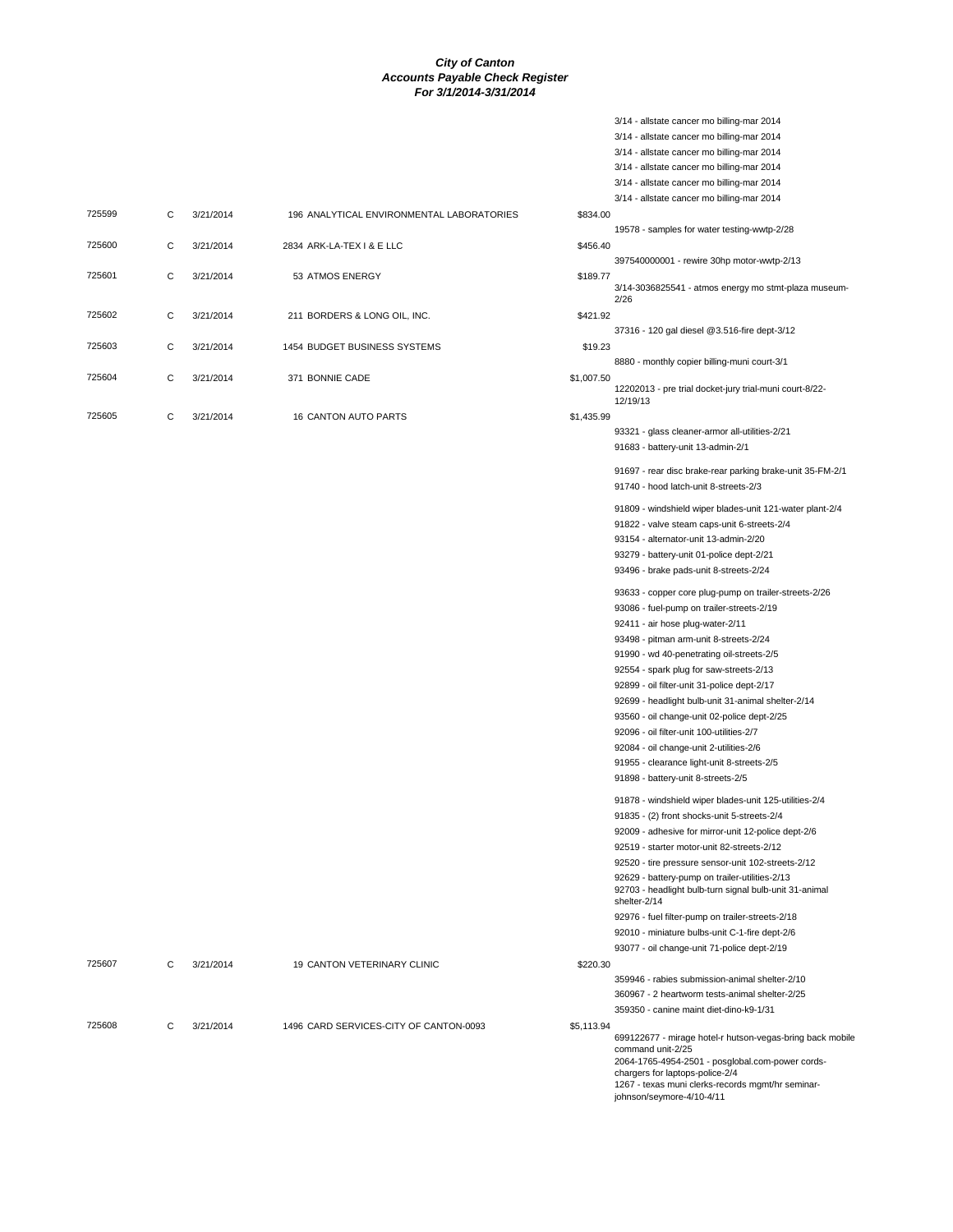3/14 - allstate cancer mo billing-mar 2014

|        |   |           |                                           |            | 3/14 - allstate cancer mo billing-mar 2014<br>3/14 - allstate cancer mo billing-mar 2014<br>3/14 - allstate cancer mo billing-mar 2014<br>3/14 - allstate cancer mo billing-mar 2014                                                                    |
|--------|---|-----------|-------------------------------------------|------------|---------------------------------------------------------------------------------------------------------------------------------------------------------------------------------------------------------------------------------------------------------|
|        |   |           |                                           |            | 3/14 - allstate cancer mo billing-mar 2014                                                                                                                                                                                                              |
| 725599 | С | 3/21/2014 | 196 ANALYTICAL ENVIRONMENTAL LABORATORIES | \$834.00   |                                                                                                                                                                                                                                                         |
| 725600 | С | 3/21/2014 | 2834 ARK-LA-TEX   & E LLC                 | \$456.40   | 19578 - samples for water testing-wwtp-2/28<br>397540000001 - rewire 30hp motor-wwtp-2/13                                                                                                                                                               |
| 725601 | C | 3/21/2014 | 53 ATMOS ENERGY                           | \$189.77   | 3/14-3036825541 - atmos energy mo stmt-plaza museum-                                                                                                                                                                                                    |
| 725602 | С | 3/21/2014 | 211 BORDERS & LONG OIL, INC.              | \$421.92   | 2/26<br>37316 - 120 gal diesel @3.516-fire dept-3/12                                                                                                                                                                                                    |
| 725603 | C | 3/21/2014 | 1454 BUDGET BUSINESS SYSTEMS              | \$19.23    | 8880 - monthly copier billing-muni court-3/1                                                                                                                                                                                                            |
| 725604 | С | 3/21/2014 | 371 BONNIE CADE                           | \$1,007.50 | 12202013 - pre trial docket-jury trial-muni court-8/22-<br>12/19/13                                                                                                                                                                                     |
| 725605 | С | 3/21/2014 | 16 CANTON AUTO PARTS                      | \$1,435.99 |                                                                                                                                                                                                                                                         |
|        |   |           |                                           |            | 93321 - glass cleaner-armor all-utilities-2/21<br>91683 - battery-unit 13-admin-2/1                                                                                                                                                                     |
|        |   |           |                                           |            | 91697 - rear disc brake-rear parking brake-unit 35-FM-2/1<br>91740 - hood latch-unit 8-streets-2/3                                                                                                                                                      |
|        |   |           |                                           |            | 91809 - windshield wiper blades-unit 121-water plant-2/4<br>91822 - valve steam caps-unit 6-streets-2/4<br>93154 - alternator-unit 13-admin-2/20                                                                                                        |
|        |   |           |                                           |            | 93279 - battery-unit 01-police dept-2/21<br>93496 - brake pads-unit 8-streets-2/24                                                                                                                                                                      |
|        |   |           |                                           |            | 93633 - copper core plug-pump on trailer-streets-2/26<br>93086 - fuel-pump on trailer-streets-2/19                                                                                                                                                      |
|        |   |           |                                           |            | 92411 - air hose plug-water-2/11                                                                                                                                                                                                                        |
|        |   |           |                                           |            | 93498 - pitman arm-unit 8-streets-2/24                                                                                                                                                                                                                  |
|        |   |           |                                           |            | 91990 - wd 40-penetrating oil-streets-2/5<br>92554 - spark plug for saw-streets-2/13                                                                                                                                                                    |
|        |   |           |                                           |            | 92899 - oil filter-unit 31-police dept-2/17                                                                                                                                                                                                             |
|        |   |           |                                           |            | 92699 - headlight bulb-unit 31-animal shelter-2/14                                                                                                                                                                                                      |
|        |   |           |                                           |            | 93560 - oil change-unit 02-police dept-2/25                                                                                                                                                                                                             |
|        |   |           |                                           |            | 92096 - oil filter-unit 100-utilities-2/7                                                                                                                                                                                                               |
|        |   |           |                                           |            | 92084 - oil change-unit 2-utilities-2/6                                                                                                                                                                                                                 |
|        |   |           |                                           |            | 91955 - clearance light-unit 8-streets-2/5<br>91898 - battery-unit 8-streets-2/5                                                                                                                                                                        |
|        |   |           |                                           |            | 91878 - windshield wiper blades-unit 125-utilities-2/4                                                                                                                                                                                                  |
|        |   |           |                                           |            | 91835 - (2) front shocks-unit 5-streets-2/4                                                                                                                                                                                                             |
|        |   |           |                                           |            | 92009 - adhesive for mirror-unit 12-police dept-2/6                                                                                                                                                                                                     |
|        |   |           |                                           |            | 92519 - starter motor-unit 82-streets-2/12                                                                                                                                                                                                              |
|        |   |           |                                           |            | 92520 - tire pressure sensor-unit 102-streets-2/12                                                                                                                                                                                                      |
|        |   |           |                                           |            | 92629 - battery-pump on trailer-utilities-2/13<br>92703 - headlight bulb-turn signal bulb-unit 31-animal<br>shelter-2/14                                                                                                                                |
|        |   |           |                                           |            | 92976 - fuel filter-pump on trailer-streets-2/18                                                                                                                                                                                                        |
|        |   |           |                                           |            | 92010 - miniature bulbs-unit C-1-fire dept-2/6                                                                                                                                                                                                          |
|        |   |           |                                           |            | 93077 - oil change-unit 71-police dept-2/19                                                                                                                                                                                                             |
| 725607 | C | 3/21/2014 | 19 CANTON VETERINARY CLINIC               | \$220.30   |                                                                                                                                                                                                                                                         |
|        |   |           |                                           |            | 359946 - rabies submission-animal shelter-2/10                                                                                                                                                                                                          |
|        |   |           |                                           |            | 360967 - 2 heartworm tests-animal shelter-2/25                                                                                                                                                                                                          |
|        |   |           |                                           |            | 359350 - canine maint diet-dino-k9-1/31                                                                                                                                                                                                                 |
| 725608 | С | 3/21/2014 | 1496 CARD SERVICES-CITY OF CANTON-0093    | \$5,113.94 | 699122677 - mirage hotel-r hutson-vegas-bring back mobile<br>command unit-2/25<br>2064-1765-4954-2501 - posglobal.com-power cords-<br>chargers for laptops-police-2/4<br>1267 - texas muni clerks-records mgmt/hr seminar-<br>johnson/seymore-4/10-4/11 |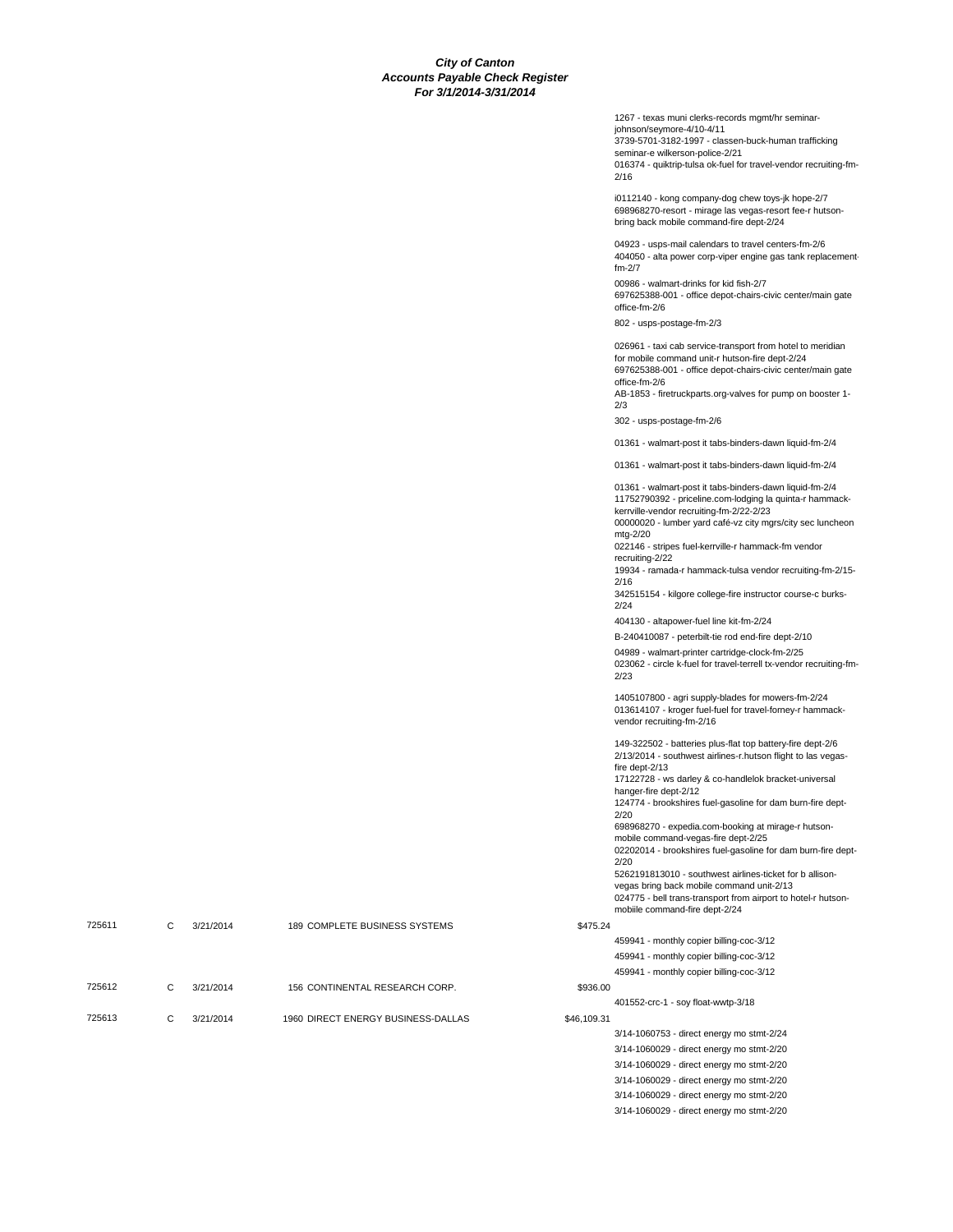1267 - texas muni clerks-records mgmt/hr seminarjohnson/seymore-4/10-4/11 3739-5701-3182-1997 - classen-buck-human trafficking seminar-e wilkerson-police-2/21 016374 - quiktrip-tulsa ok-fuel for travel-vendor recruiting-fm-2/16 i0112140 - kong company-dog chew toys-jk hope-2/7 698968270-resort - mirage las vegas-resort fee-r hutsonbring back mobile command-fire dept-2/24 04923 - usps-mail calendars to travel centers-fm-2/6 404050 - alta power corp-viper engine gas tank replacementfm-2/7 00986 - walmart-drinks for kid fish-2/7 697625388-001 - office depot-chairs-civic center/main gate office-fm-2/6 802 - usps-postage-fm-2/3 026961 - taxi cab service-transport from hotel to meridian for mobile command unit-r hutson-fire dept-2/24 697625388-001 - office depot-chairs-civic center/main gate office-fm-2/6 AB-1853 - firetruckparts.org-valves for pump on booster 1- 2/3 302 - usps-postage-fm-2/6 01361 - walmart-post it tabs-binders-dawn liquid-fm-2/4 01361 - walmart-post it tabs-binders-dawn liquid-fm-2/4 01361 - walmart-post it tabs-binders-dawn liquid-fm-2/4 11752790392 - priceline.com-lodging la quinta-r hammackkerrville-vendor recruiting-fm-2/22-2/23 00000020 - lumber yard café-vz city mgrs/city sec luncheon mtg-2/20 022146 - stripes fuel-kerrville-r hammack-fm vendor recruiting-2/22 19934 - ramada-r hammack-tulsa vendor recruiting-fm-2/15- 2/16 342515154 - kilgore college-fire instructor course-c burks-2/24 404130 - altapower-fuel line kit-fm-2/24 B-240410087 - peterbilt-tie rod end-fire dept-2/10 04989 - walmart-printer cartridge-clock-fm-2/25 023062 - circle k-fuel for travel-terrell tx-vendor recruiting-fm-2/23 1405107800 - agri supply-blades for mowers-fm-2/24 013614107 - kroger fuel-fuel for travel-forney-r hammackvendor recruiting-fm-2/16 149-322502 - batteries plus-flat top battery-fire dept-2/6 2/13/2014 - southwest airlines-r.hutson flight to las vegasfire dept-2/13 17122728 - ws darley & co-handlelok bracket-universal hanger-fire dept-2/12 124774 - brookshires fuel-gasoline for dam burn-fire dept-

> 698968270 - expedia.com-booking at mirage-r hutsonmobile command-vegas-fire dept-2/25 02202014 - brookshires fuel-gasoline for dam burn-fire dept-2/20 5262191813010 - southwest airlines-ticket for b allisonvegas bring back mobile command unit-2/13

024775 - bell trans-transport from airport to hotel-r hutsonmobiile command-fire dept-2/24

725611 C 3/21/2014 189 COMPLETE BUSINESS SYSTEMS \$475.24

725612 C 3/21/2014 156 CONTINENTAL RESEARCH CORP. \$936.00

725613 C 3/21/2014 1960 DIRECT ENERGY BUSINESS-DALLAS \$46,109.31

2/20

401552-crc-1 - soy float-wwtp-3/18

3/14-1060753 - direct energy mo stmt-2/24 3/14-1060029 - direct energy mo stmt-2/20 3/14-1060029 - direct energy mo stmt-2/20 3/14-1060029 - direct energy mo stmt-2/20 3/14-1060029 - direct energy mo stmt-2/20 3/14-1060029 - direct energy mo stmt-2/20

459941 - monthly copier billing-coc-3/12 459941 - monthly copier billing-coc-3/12 459941 - monthly copier billing-coc-3/12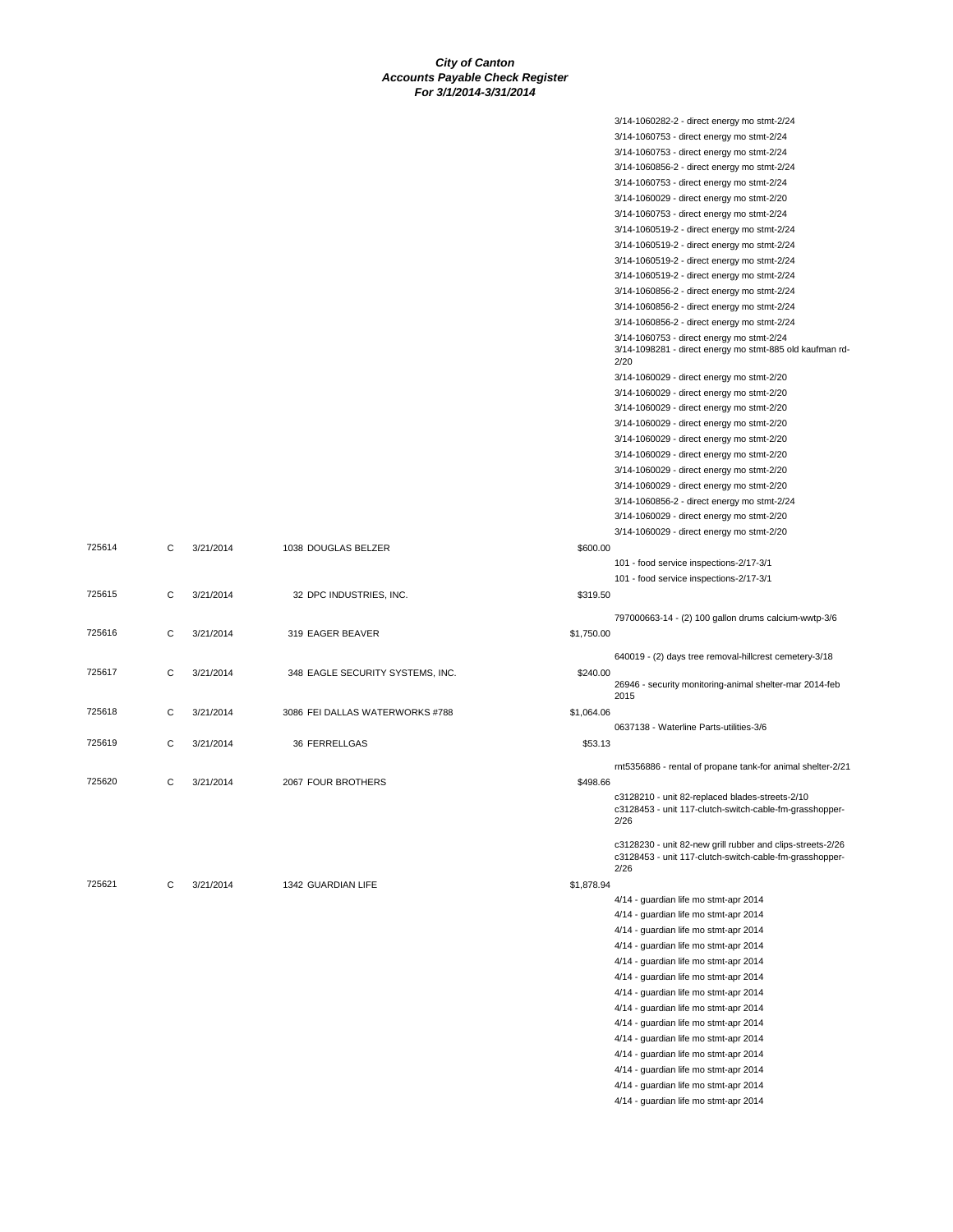|        |   |           |                                  |            | 3/14-1060282-2 - direct energy mo stmt-2/24                      |
|--------|---|-----------|----------------------------------|------------|------------------------------------------------------------------|
|        |   |           |                                  |            | 3/14-1060753 - direct energy mo stmt-2/24                        |
|        |   |           |                                  |            | 3/14-1060753 - direct energy mo stmt-2/24                        |
|        |   |           |                                  |            | 3/14-1060856-2 - direct energy mo stmt-2/24                      |
|        |   |           |                                  |            | 3/14-1060753 - direct energy mo stmt-2/24                        |
|        |   |           |                                  |            | 3/14-1060029 - direct energy mo stmt-2/20                        |
|        |   |           |                                  |            | 3/14-1060753 - direct energy mo stmt-2/24                        |
|        |   |           |                                  |            | 3/14-1060519-2 - direct energy mo stmt-2/24                      |
|        |   |           |                                  |            | 3/14-1060519-2 - direct energy mo stmt-2/24                      |
|        |   |           |                                  |            | 3/14-1060519-2 - direct energy mo stmt-2/24                      |
|        |   |           |                                  |            | 3/14-1060519-2 - direct energy mo stmt-2/24                      |
|        |   |           |                                  |            | 3/14-1060856-2 - direct energy mo stmt-2/24                      |
|        |   |           |                                  |            | 3/14-1060856-2 - direct energy mo stmt-2/24                      |
|        |   |           |                                  |            | 3/14-1060856-2 - direct energy mo stmt-2/24                      |
|        |   |           |                                  |            | 3/14-1060753 - direct energy mo stmt-2/24                        |
|        |   |           |                                  |            | 3/14-1098281 - direct energy mo stmt-885 old kaufman rd-<br>2/20 |
|        |   |           |                                  |            | 3/14-1060029 - direct energy mo stmt-2/20                        |
|        |   |           |                                  |            | 3/14-1060029 - direct energy mo stmt-2/20                        |
|        |   |           |                                  |            | 3/14-1060029 - direct energy mo stmt-2/20                        |
|        |   |           |                                  |            | 3/14-1060029 - direct energy mo stmt-2/20                        |
|        |   |           |                                  |            | 3/14-1060029 - direct energy mo stmt-2/20                        |
|        |   |           |                                  |            | 3/14-1060029 - direct energy mo stmt-2/20                        |
|        |   |           |                                  |            | 3/14-1060029 - direct energy mo stmt-2/20                        |
|        |   |           |                                  |            | 3/14-1060029 - direct energy mo stmt-2/20                        |
|        |   |           |                                  |            | 3/14-1060856-2 - direct energy mo stmt-2/24                      |
|        |   |           |                                  |            | 3/14-1060029 - direct energy mo stmt-2/20                        |
|        |   |           |                                  |            | 3/14-1060029 - direct energy mo stmt-2/20                        |
| 725614 | С | 3/21/2014 | 1038 DOUGLAS BELZER              | \$600.00   |                                                                  |
|        |   |           |                                  |            | 101 - food service inspections-2/17-3/1                          |
| 725615 | С | 3/21/2014 | 32 DPC INDUSTRIES, INC.          | \$319.50   | 101 - food service inspections-2/17-3/1                          |
|        |   |           |                                  |            |                                                                  |
|        |   |           |                                  |            | 797000663-14 - (2) 100 gallon drums calcium-wwtp-3/6             |
| 725616 | С | 3/21/2014 | 319 EAGER BEAVER                 | \$1,750.00 |                                                                  |
|        |   |           |                                  |            | 640019 - (2) days tree removal-hillcrest cemetery-3/18           |
| 725617 | С | 3/21/2014 | 348 EAGLE SECURITY SYSTEMS, INC. | \$240.00   |                                                                  |
|        |   |           |                                  |            | 26946 - security monitoring-animal shelter-mar 2014-feb          |
|        |   |           |                                  |            | 2015                                                             |
| 725618 | С | 3/21/2014 | 3086 FEI DALLAS WATERWORKS #788  | \$1,064.06 |                                                                  |
|        |   |           |                                  |            | 0637138 - Waterline Parts-utilities-3/6                          |
| 725619 | С | 3/21/2014 | 36 FERRELLGAS                    | \$53.13    |                                                                  |
|        |   |           |                                  |            | rnt5356886 - rental of propane tank-for animal shelter-2/21      |
| 725620 | С | 3/21/2014 | 2067 FOUR BROTHERS               | \$498.66   |                                                                  |
|        |   |           |                                  |            | c3128210 - unit 82-replaced blades-streets-2/10                  |
|        |   |           |                                  |            | c3128453 - unit 117-clutch-switch-cable-fm-grasshopper-<br>2/26  |
|        |   |           |                                  |            |                                                                  |
|        |   |           |                                  |            | c3128230 - unit 82-new grill rubber and clips-streets-2/26       |
|        |   |           |                                  |            | c3128453 - unit 117-clutch-switch-cable-fm-grasshopper-<br>2/26  |
| 725621 | C | 3/21/2014 | 1342 GUARDIAN LIFE               | \$1,878.94 |                                                                  |
|        |   |           |                                  |            | 4/14 - quardian life mo stmt-apr 2014                            |
|        |   |           |                                  |            | 4/14 - guardian life mo stmt-apr 2014                            |
|        |   |           |                                  |            | 4/14 - guardian life mo stmt-apr 2014                            |
|        |   |           |                                  |            | 4/14 - guardian life mo stmt-apr 2014                            |
|        |   |           |                                  |            | 4/14 - guardian life mo stmt-apr 2014                            |
|        |   |           |                                  |            | 4/14 - guardian life mo stmt-apr 2014                            |
|        |   |           |                                  |            | 4/14 - guardian life mo stmt-apr 2014                            |
|        |   |           |                                  |            | 4/14 - guardian life mo stmt-apr 2014                            |
|        |   |           |                                  |            | 4/14 - guardian life mo stmt-apr 2014                            |
|        |   |           |                                  |            | 4/14 - guardian life mo stmt-apr 2014                            |
|        |   |           |                                  |            | 4/14 - guardian life mo stmt-apr 2014                            |
|        |   |           |                                  |            | 4/14 - guardian life mo stmt-apr 2014                            |
|        |   |           |                                  |            | 4/14 - guardian life mo stmt-apr 2014                            |
|        |   |           |                                  |            | 4/14 - guardian life mo stmt-apr 2014                            |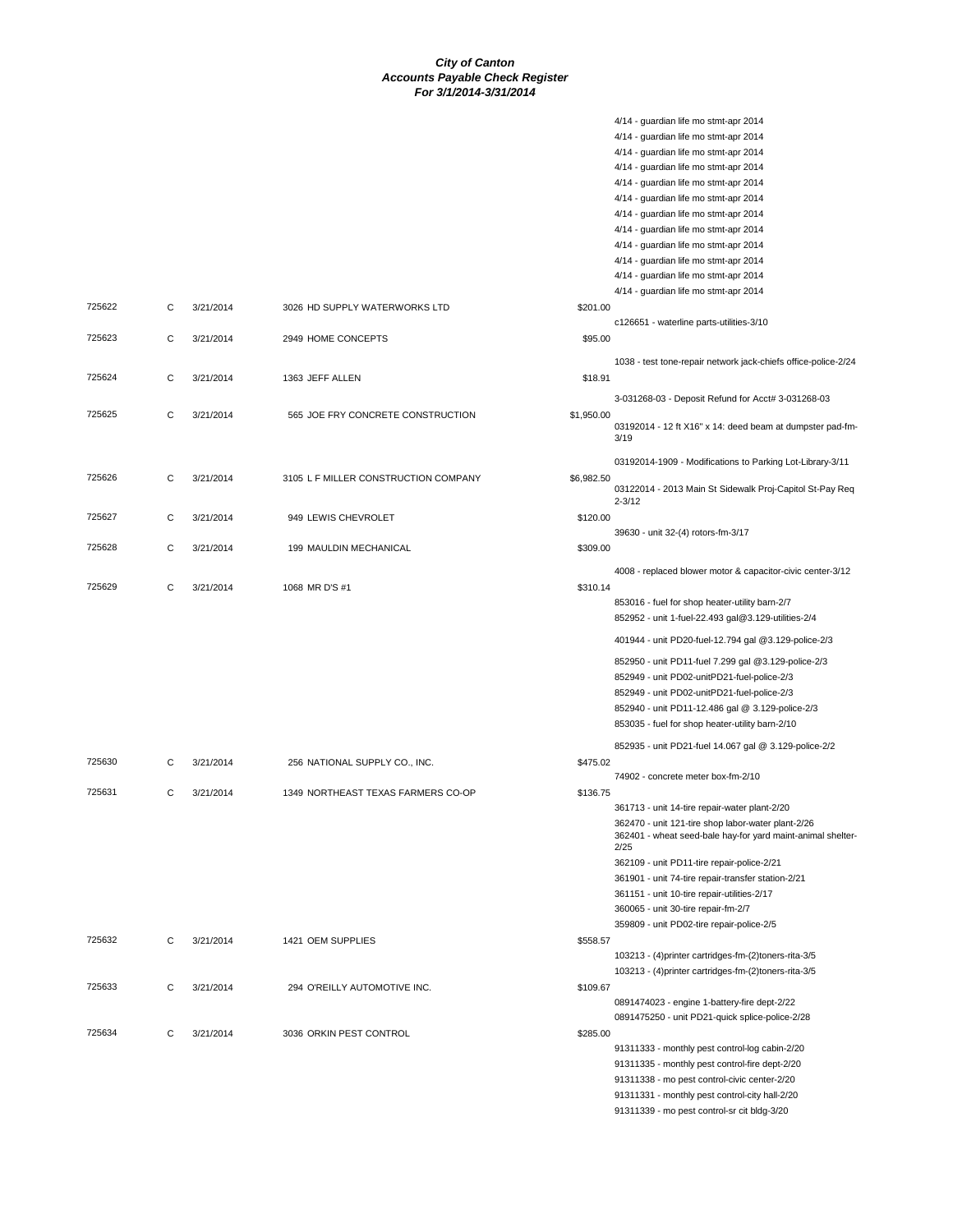4/14 - guardian life mo stmt-apr 2014

|        |   |           |                                      |            | 4/14 - guardian life mo stmt-apr 2014                                                                                                                                                                                                                    |
|--------|---|-----------|--------------------------------------|------------|----------------------------------------------------------------------------------------------------------------------------------------------------------------------------------------------------------------------------------------------------------|
|        |   |           |                                      |            | 4/14 - guardian life mo stmt-apr 2014                                                                                                                                                                                                                    |
|        |   |           |                                      |            | 4/14 - guardian life mo stmt-apr 2014                                                                                                                                                                                                                    |
|        |   |           |                                      |            | 4/14 - guardian life mo stmt-apr 2014                                                                                                                                                                                                                    |
|        |   |           |                                      |            | 4/14 - guardian life mo stmt-apr 2014                                                                                                                                                                                                                    |
|        |   |           |                                      |            | 4/14 - guardian life mo stmt-apr 2014                                                                                                                                                                                                                    |
|        |   |           |                                      |            | 4/14 - guardian life mo stmt-apr 2014                                                                                                                                                                                                                    |
|        |   |           |                                      |            | 4/14 - guardian life mo stmt-apr 2014                                                                                                                                                                                                                    |
|        |   |           |                                      |            |                                                                                                                                                                                                                                                          |
|        |   |           |                                      |            | 4/14 - guardian life mo stmt-apr 2014                                                                                                                                                                                                                    |
|        |   |           |                                      |            | 4/14 - guardian life mo stmt-apr 2014                                                                                                                                                                                                                    |
|        |   |           |                                      |            | 4/14 - guardian life mo stmt-apr 2014                                                                                                                                                                                                                    |
| 725622 | С | 3/21/2014 | 3026 HD SUPPLY WATERWORKS LTD        | \$201.00   |                                                                                                                                                                                                                                                          |
|        |   |           |                                      |            | c126651 - waterline parts-utilities-3/10                                                                                                                                                                                                                 |
| 725623 | С | 3/21/2014 | 2949 HOME CONCEPTS                   | \$95.00    |                                                                                                                                                                                                                                                          |
|        |   |           |                                      |            | 1038 - test tone-repair network jack-chiefs office-police-2/24                                                                                                                                                                                           |
| 725624 | С | 3/21/2014 | 1363 JEFF ALLEN                      | \$18.91    |                                                                                                                                                                                                                                                          |
|        |   |           |                                      |            |                                                                                                                                                                                                                                                          |
|        |   |           |                                      |            | 3-031268-03 - Deposit Refund for Acct# 3-031268-03                                                                                                                                                                                                       |
| 725625 | С | 3/21/2014 | 565 JOE FRY CONCRETE CONSTRUCTION    | \$1,950.00 | 03192014 - 12 ft X16" x 14: deed beam at dumpster pad-fm-<br>3/19                                                                                                                                                                                        |
|        |   |           |                                      |            | 03192014-1909 - Modifications to Parking Lot-Library-3/11                                                                                                                                                                                                |
| 725626 | С | 3/21/2014 | 3105 L F MILLER CONSTRUCTION COMPANY | \$6,982.50 |                                                                                                                                                                                                                                                          |
|        |   |           |                                      |            | 03122014 - 2013 Main St Sidewalk Proj-Capitol St-Pay Req<br>$2 - 3/12$                                                                                                                                                                                   |
| 725627 | С | 3/21/2014 | 949 LEWIS CHEVROLET                  | \$120.00   |                                                                                                                                                                                                                                                          |
|        |   |           |                                      |            | 39630 - unit 32-(4) rotors-fm-3/17                                                                                                                                                                                                                       |
| 725628 | C | 3/21/2014 | 199 MAULDIN MECHANICAL               | \$309.00   |                                                                                                                                                                                                                                                          |
|        |   |           |                                      |            | 4008 - replaced blower motor & capacitor-civic center-3/12                                                                                                                                                                                               |
| 725629 | С | 3/21/2014 | 1068 MR D'S #1                       | \$310.14   |                                                                                                                                                                                                                                                          |
|        |   |           |                                      |            | 853016 - fuel for shop heater-utility barn-2/7<br>852952 - unit 1-fuel-22.493 gal@3.129-utilities-2/4                                                                                                                                                    |
|        |   |           |                                      |            | 401944 - unit PD20-fuel-12.794 gal @3.129-police-2/3                                                                                                                                                                                                     |
|        |   |           |                                      |            | 852950 - unit PD11-fuel 7.299 gal @3.129-police-2/3<br>852949 - unit PD02-unitPD21-fuel-police-2/3<br>852949 - unit PD02-unitPD21-fuel-police-2/3<br>852940 - unit PD11-12.486 gal @ 3.129-police-2/3<br>853035 - fuel for shop heater-utility barn-2/10 |
|        |   |           |                                      |            | 852935 - unit PD21-fuel 14.067 gal @ 3.129-police-2/2                                                                                                                                                                                                    |
| 725630 | С | 3/21/2014 | 256 NATIONAL SUPPLY CO., INC.        | \$475.02   |                                                                                                                                                                                                                                                          |
|        |   |           |                                      |            | 74902 - concrete meter box-fm-2/10                                                                                                                                                                                                                       |
| 725631 | С | 3/21/2014 | 1349 NORTHEAST TEXAS FARMERS CO-OP   | \$136.75   |                                                                                                                                                                                                                                                          |
|        |   |           |                                      |            | 361713 - unit 14-tire repair-water plant-2/20                                                                                                                                                                                                            |
|        |   |           |                                      |            | 362470 - unit 121-tire shop labor-water plant-2/26<br>362401 - wheat seed-bale hay-for yard maint-animal shelter-<br>2/25<br>362109 - unit PD11-tire repair-police-2/21                                                                                  |
|        |   |           |                                      |            | 361901 - unit 74-tire repair-transfer station-2/21                                                                                                                                                                                                       |
|        |   |           |                                      |            | 361151 - unit 10-tire repair-utilities-2/17                                                                                                                                                                                                              |
|        |   |           |                                      |            | 360065 - unit 30-tire repair-fm-2/7                                                                                                                                                                                                                      |
|        |   |           |                                      |            | 359809 - unit PD02-tire repair-police-2/5                                                                                                                                                                                                                |
|        |   |           |                                      |            |                                                                                                                                                                                                                                                          |
| 725632 | C | 3/21/2014 | 1421 OEM SUPPLIES                    | \$558.57   |                                                                                                                                                                                                                                                          |
|        |   |           |                                      |            | 103213 - (4) printer cartridges-fm-(2) toners-rita-3/5                                                                                                                                                                                                   |
|        |   |           |                                      |            | 103213 - (4) printer cartridges-fm-(2) toners-rita-3/5                                                                                                                                                                                                   |
| 725633 | С | 3/21/2014 | 294 O'REILLY AUTOMOTIVE INC.         | \$109.67   |                                                                                                                                                                                                                                                          |
|        |   |           |                                      |            | 0891474023 - engine 1-battery-fire dept-2/22                                                                                                                                                                                                             |
|        |   |           |                                      |            | 0891475250 - unit PD21-quick splice-police-2/28                                                                                                                                                                                                          |
| 725634 | С | 3/21/2014 | 3036 ORKIN PEST CONTROL              | \$285.00   |                                                                                                                                                                                                                                                          |
|        |   |           |                                      |            | 91311333 - monthly pest control-log cabin-2/20                                                                                                                                                                                                           |
|        |   |           |                                      |            | 91311335 - monthly pest control-fire dept-2/20                                                                                                                                                                                                           |
|        |   |           |                                      |            | 91311338 - mo pest control-civic center-2/20                                                                                                                                                                                                             |
|        |   |           |                                      |            | 91311331 - monthly pest control-city hall-2/20                                                                                                                                                                                                           |
|        |   |           |                                      |            | 91311339 - mo pest control-sr cit bldg-3/20                                                                                                                                                                                                              |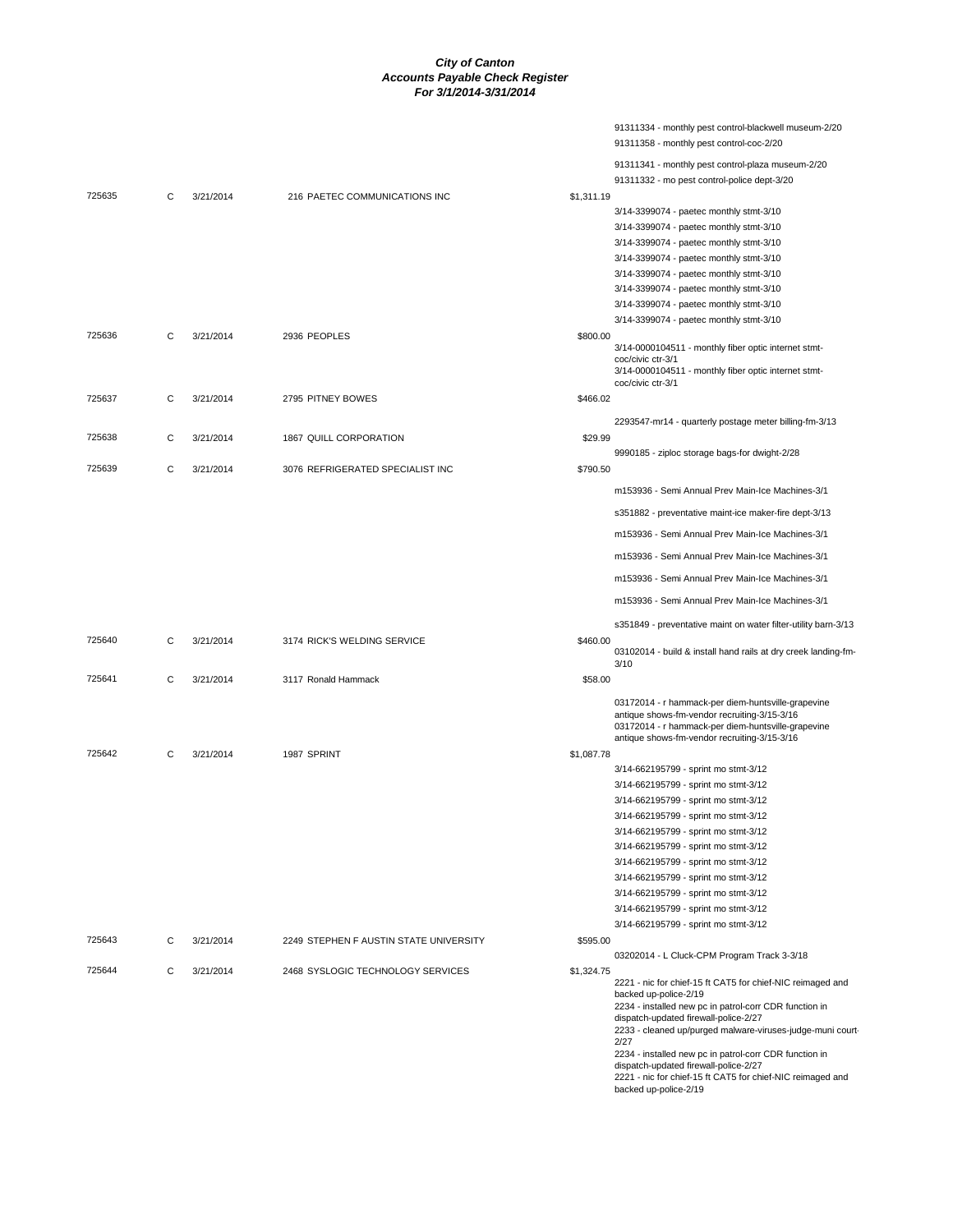|        |   |           |                                        |            | 91311334 - monthly pest control-blackwell museum-2/20<br>91311358 - monthly pest control-coc-2/20                                                                                                                                                                                                                                                                                                                                                      |
|--------|---|-----------|----------------------------------------|------------|--------------------------------------------------------------------------------------------------------------------------------------------------------------------------------------------------------------------------------------------------------------------------------------------------------------------------------------------------------------------------------------------------------------------------------------------------------|
|        |   |           |                                        |            | 91311341 - monthly pest control-plaza museum-2/20                                                                                                                                                                                                                                                                                                                                                                                                      |
| 725635 | С | 3/21/2014 | 216 PAETEC COMMUNICATIONS INC          | \$1.311.19 | 91311332 - mo pest control-police dept-3/20                                                                                                                                                                                                                                                                                                                                                                                                            |
|        |   |           |                                        |            | 3/14-3399074 - paetec monthly stmt-3/10                                                                                                                                                                                                                                                                                                                                                                                                                |
|        |   |           |                                        |            | 3/14-3399074 - paetec monthly stmt-3/10                                                                                                                                                                                                                                                                                                                                                                                                                |
|        |   |           |                                        |            | 3/14-3399074 - paetec monthly stmt-3/10                                                                                                                                                                                                                                                                                                                                                                                                                |
|        |   |           |                                        |            | 3/14-3399074 - paetec monthly stmt-3/10                                                                                                                                                                                                                                                                                                                                                                                                                |
|        |   |           |                                        |            | 3/14-3399074 - paetec monthly stmt-3/10                                                                                                                                                                                                                                                                                                                                                                                                                |
|        |   |           |                                        |            |                                                                                                                                                                                                                                                                                                                                                                                                                                                        |
|        |   |           |                                        |            | 3/14-3399074 - paetec monthly stmt-3/10                                                                                                                                                                                                                                                                                                                                                                                                                |
|        |   |           |                                        |            | 3/14-3399074 - paetec monthly stmt-3/10                                                                                                                                                                                                                                                                                                                                                                                                                |
|        |   |           |                                        |            | 3/14-3399074 - paetec monthly stmt-3/10                                                                                                                                                                                                                                                                                                                                                                                                                |
| 725636 | С | 3/21/2014 | 2936 PEOPLES                           | \$800.00   | 3/14-0000104511 - monthly fiber optic internet stmt-<br>coc/civic ctr-3/1                                                                                                                                                                                                                                                                                                                                                                              |
|        |   |           |                                        |            | 3/14-0000104511 - monthly fiber optic internet stmt-<br>coc/civic ctr-3/1                                                                                                                                                                                                                                                                                                                                                                              |
| 725637 | С | 3/21/2014 | 2795 PITNEY BOWES                      | \$466.02   |                                                                                                                                                                                                                                                                                                                                                                                                                                                        |
|        |   |           |                                        |            | 2293547-mr14 - quarterly postage meter billing-fm-3/13                                                                                                                                                                                                                                                                                                                                                                                                 |
| 725638 | С | 3/21/2014 | 1867 QUILL CORPORATION                 | \$29.99    |                                                                                                                                                                                                                                                                                                                                                                                                                                                        |
|        |   |           |                                        |            | 9990185 - ziploc storage bags-for dwight-2/28                                                                                                                                                                                                                                                                                                                                                                                                          |
| 725639 | С | 3/21/2014 | 3076 REFRIGERATED SPECIALIST INC       | \$790.50   |                                                                                                                                                                                                                                                                                                                                                                                                                                                        |
|        |   |           |                                        |            | m153936 - Semi Annual Prev Main-Ice Machines-3/1                                                                                                                                                                                                                                                                                                                                                                                                       |
|        |   |           |                                        |            | s351882 - preventative maint-ice maker-fire dept-3/13                                                                                                                                                                                                                                                                                                                                                                                                  |
|        |   |           |                                        |            | m153936 - Semi Annual Prev Main-Ice Machines-3/1                                                                                                                                                                                                                                                                                                                                                                                                       |
|        |   |           |                                        |            | m153936 - Semi Annual Prev Main-Ice Machines-3/1                                                                                                                                                                                                                                                                                                                                                                                                       |
|        |   |           |                                        |            | m153936 - Semi Annual Prev Main-Ice Machines-3/1                                                                                                                                                                                                                                                                                                                                                                                                       |
|        |   |           |                                        |            | m153936 - Semi Annual Prev Main-Ice Machines-3/1                                                                                                                                                                                                                                                                                                                                                                                                       |
|        |   |           |                                        |            | s351849 - preventative maint on water filter-utility barn-3/13                                                                                                                                                                                                                                                                                                                                                                                         |
| 725640 | С | 3/21/2014 | 3174 RICK'S WELDING SERVICE            | \$460.00   | 03102014 - build & install hand rails at dry creek landing-fm-<br>3/10                                                                                                                                                                                                                                                                                                                                                                                 |
| 725641 | С | 3/21/2014 | 3117 Ronald Hammack                    | \$58.00    |                                                                                                                                                                                                                                                                                                                                                                                                                                                        |
|        |   |           |                                        |            | 03172014 - r hammack-per diem-huntsville-grapevine<br>antique shows-fm-vendor recruiting-3/15-3/16<br>03172014 - r hammack-per diem-huntsville-grapevine<br>antique shows-fm-vendor recruiting-3/15-3/16                                                                                                                                                                                                                                               |
| 725642 | С | 3/21/2014 | 1987 SPRINT                            | \$1,087.78 |                                                                                                                                                                                                                                                                                                                                                                                                                                                        |
|        |   |           |                                        |            | 3/14-662195799 - sprint mo stmt-3/12                                                                                                                                                                                                                                                                                                                                                                                                                   |
|        |   |           |                                        |            | 3/14-662195799 - sprint mo stmt-3/12                                                                                                                                                                                                                                                                                                                                                                                                                   |
|        |   |           |                                        |            | 3/14-662195799 - sprint mo stmt-3/12                                                                                                                                                                                                                                                                                                                                                                                                                   |
|        |   |           |                                        |            | 3/14-662195799 - sprint mo stmt-3/12                                                                                                                                                                                                                                                                                                                                                                                                                   |
|        |   |           |                                        |            | 3/14-662195799 - sprint mo stmt-3/12                                                                                                                                                                                                                                                                                                                                                                                                                   |
|        |   |           |                                        |            | 3/14-662195799 - sprint mo stmt-3/12                                                                                                                                                                                                                                                                                                                                                                                                                   |
|        |   |           |                                        |            | 3/14-662195799 - sprint mo stmt-3/12                                                                                                                                                                                                                                                                                                                                                                                                                   |
|        |   |           |                                        |            |                                                                                                                                                                                                                                                                                                                                                                                                                                                        |
|        |   |           |                                        |            | 3/14-662195799 - sprint mo stmt-3/12                                                                                                                                                                                                                                                                                                                                                                                                                   |
|        |   |           |                                        |            | 3/14-662195799 - sprint mo stmt-3/12                                                                                                                                                                                                                                                                                                                                                                                                                   |
|        |   |           |                                        |            | 3/14-662195799 - sprint mo stmt-3/12                                                                                                                                                                                                                                                                                                                                                                                                                   |
|        |   |           |                                        |            | 3/14-662195799 - sprint mo stmt-3/12                                                                                                                                                                                                                                                                                                                                                                                                                   |
| 725643 | С | 3/21/2014 | 2249 STEPHEN F AUSTIN STATE UNIVERSITY | \$595.00   |                                                                                                                                                                                                                                                                                                                                                                                                                                                        |
|        |   |           | 2468 SYSLOGIC TECHNOLOGY SERVICES      |            | 03202014 - L Cluck-CPM Program Track 3-3/18                                                                                                                                                                                                                                                                                                                                                                                                            |
| 725644 | C | 3/21/2014 |                                        | \$1,324.75 | 2221 - nic for chief-15 ft CAT5 for chief-NIC reimaged and<br>backed up-police-2/19<br>2234 - installed new pc in patrol-corr CDR function in<br>dispatch-updated firewall-police-2/27<br>2233 - cleaned up/purged malware-viruses-judge-muni court-<br>2/27<br>2234 - installed new pc in patrol-corr CDR function in<br>dispatch-updated firewall-police-2/27<br>2221 - nic for chief-15 ft CAT5 for chief-NIC reimaged and<br>backed up-police-2/19 |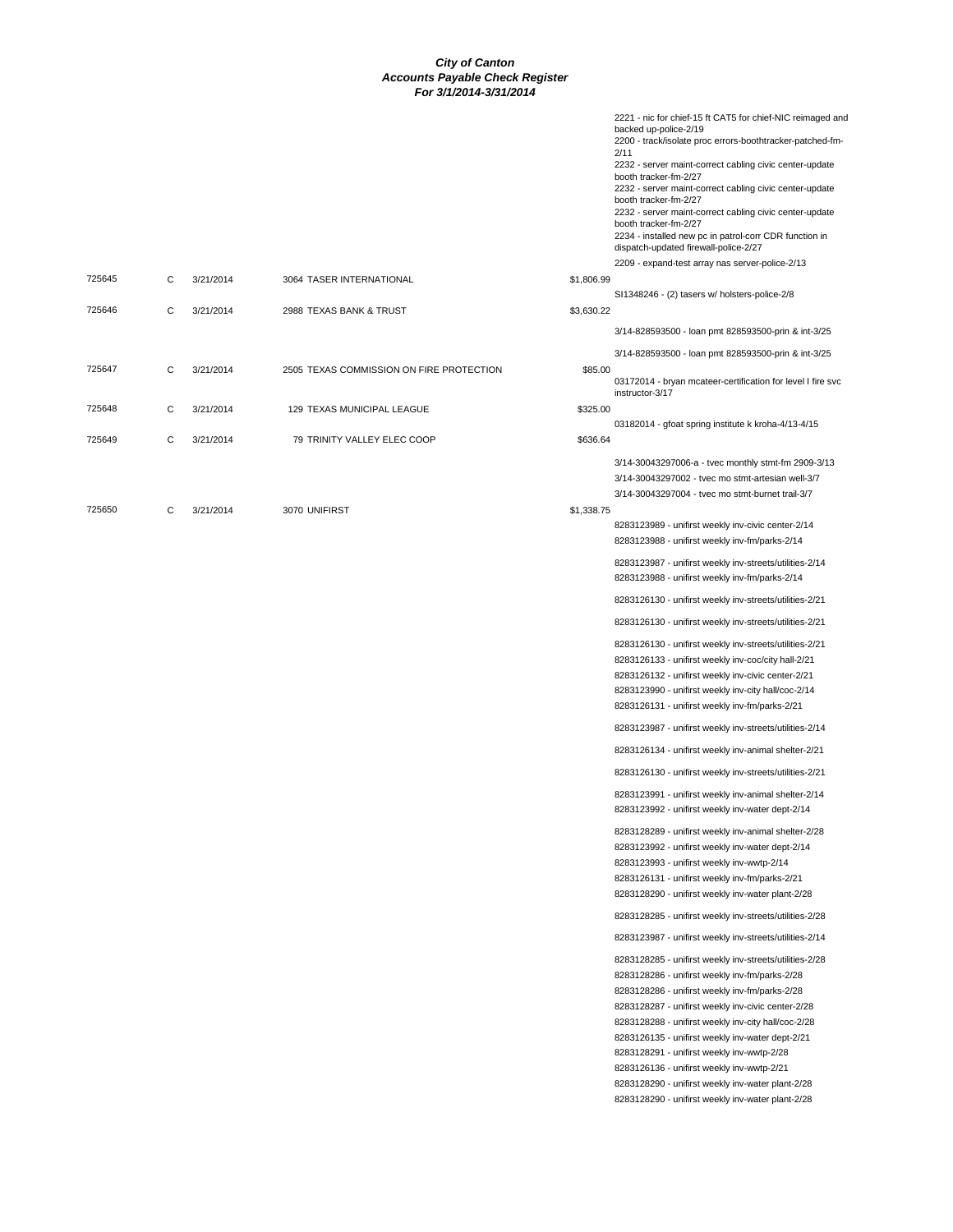|        |   |           |                                          |            | 2221 - nic for chief-15 ft CAT5 for chief-NIC reimaged and<br>backed up-police-2/19<br>2200 - track/isolate proc errors-boothtracker-patched-fm-<br>2/11<br>2232 - server maint-correct cabling civic center-update<br>booth tracker-fm-2/27<br>2232 - server maint-correct cabling civic center-update<br>booth tracker-fm-2/27<br>2232 - server maint-correct cabling civic center-update<br>booth tracker-fm-2/27<br>2234 - installed new pc in patrol-corr CDR function in<br>dispatch-updated firewall-police-2/27            |
|--------|---|-----------|------------------------------------------|------------|------------------------------------------------------------------------------------------------------------------------------------------------------------------------------------------------------------------------------------------------------------------------------------------------------------------------------------------------------------------------------------------------------------------------------------------------------------------------------------------------------------------------------------|
| 725645 | C | 3/21/2014 | 3064 TASER INTERNATIONAL                 | \$1,806.99 | 2209 - expand-test array nas server-police-2/13                                                                                                                                                                                                                                                                                                                                                                                                                                                                                    |
|        |   |           |                                          |            | SI1348246 - (2) tasers w/ holsters-police-2/8                                                                                                                                                                                                                                                                                                                                                                                                                                                                                      |
| 725646 | C | 3/21/2014 | 2988 TEXAS BANK & TRUST                  | \$3,630.22 |                                                                                                                                                                                                                                                                                                                                                                                                                                                                                                                                    |
|        |   |           |                                          |            | 3/14-828593500 - loan pmt 828593500-prin & int-3/25                                                                                                                                                                                                                                                                                                                                                                                                                                                                                |
|        |   |           |                                          |            | 3/14-828593500 - loan pmt 828593500-prin & int-3/25                                                                                                                                                                                                                                                                                                                                                                                                                                                                                |
| 725647 | C | 3/21/2014 | 2505 TEXAS COMMISSION ON FIRE PROTECTION | \$85.00    | 03172014 - bryan mcateer-certification for level I fire svc<br>instructor-3/17                                                                                                                                                                                                                                                                                                                                                                                                                                                     |
| 725648 | C | 3/21/2014 | 129 TEXAS MUNICIPAL LEAGUE               | \$325.00   |                                                                                                                                                                                                                                                                                                                                                                                                                                                                                                                                    |
| 725649 | C | 3/21/2014 | 79 TRINITY VALLEY ELEC COOP              | \$636.64   | 03182014 - gfoat spring institute k kroha-4/13-4/15                                                                                                                                                                                                                                                                                                                                                                                                                                                                                |
| 725650 | C | 3/21/2014 | 3070 UNIFIRST                            | \$1,338.75 | 3/14-30043297006-a - tvec monthly stmt-fm 2909-3/13<br>3/14-30043297002 - tvec mo stmt-artesian well-3/7<br>3/14-30043297004 - tvec mo stmt-burnet trail-3/7                                                                                                                                                                                                                                                                                                                                                                       |
|        |   |           |                                          |            | 8283123989 - unifirst weekly inv-civic center-2/14<br>8283123988 - unifirst weekly inv-fm/parks-2/14                                                                                                                                                                                                                                                                                                                                                                                                                               |
|        |   |           |                                          |            | 8283123987 - unifirst weekly inv-streets/utilities-2/14<br>8283123988 - unifirst weekly inv-fm/parks-2/14                                                                                                                                                                                                                                                                                                                                                                                                                          |
|        |   |           |                                          |            | 8283126130 - unifirst weekly inv-streets/utilities-2/21                                                                                                                                                                                                                                                                                                                                                                                                                                                                            |
|        |   |           |                                          |            | 8283126130 - unifirst weekly inv-streets/utilities-2/21                                                                                                                                                                                                                                                                                                                                                                                                                                                                            |
|        |   |           |                                          |            | 8283126130 - unifirst weekly inv-streets/utilities-2/21<br>8283126133 - unifirst weekly inv-coc/city hall-2/21<br>8283126132 - unifirst weekly inv-civic center-2/21<br>8283123990 - unifirst weekly inv-city hall/coc-2/14<br>8283126131 - unifirst weekly inv-fm/parks-2/21                                                                                                                                                                                                                                                      |
|        |   |           |                                          |            | 8283123987 - unifirst weekly inv-streets/utilities-2/14                                                                                                                                                                                                                                                                                                                                                                                                                                                                            |
|        |   |           |                                          |            | 8283126134 - unifirst weekly inv-animal shelter-2/21                                                                                                                                                                                                                                                                                                                                                                                                                                                                               |
|        |   |           |                                          |            | 8283126130 - unifirst weekly inv-streets/utilities-2/21                                                                                                                                                                                                                                                                                                                                                                                                                                                                            |
|        |   |           |                                          |            | 8283123991 - unifirst weekly inv-animal shelter-2/14<br>8283123992 - unifirst weekly inv-water dept-2/14                                                                                                                                                                                                                                                                                                                                                                                                                           |
|        |   |           |                                          |            | 8283128289 - unifirst weekly inv-animal shelter-2/28<br>8283123992 - unifirst weekly inv-water dept-2/14<br>8283123993 - unifirst weekly inv-wwtp-2/14<br>8283126131 - unifirst weekly inv-fm/parks-2/21<br>8283128290 - unifirst weekly inv-water plant-2/28                                                                                                                                                                                                                                                                      |
|        |   |           |                                          |            | 8283128285 - unifirst weekly inv-streets/utilities-2/28                                                                                                                                                                                                                                                                                                                                                                                                                                                                            |
|        |   |           |                                          |            | 8283123987 - unifirst weekly inv-streets/utilities-2/14                                                                                                                                                                                                                                                                                                                                                                                                                                                                            |
|        |   |           |                                          |            | 8283128285 - unifirst weekly inv-streets/utilities-2/28<br>8283128286 - unifirst weekly inv-fm/parks-2/28<br>8283128286 - unifirst weekly inv-fm/parks-2/28<br>8283128287 - unifirst weekly inv-civic center-2/28<br>8283128288 - unifirst weekly inv-city hall/coc-2/28<br>8283126135 - unifirst weekly inv-water dept-2/21<br>8283128291 - unifirst weekly inv-wwtp-2/28<br>8283126136 - unifirst weekly inv-wwtp-2/21<br>8283128290 - unifirst weekly inv-water plant-2/28<br>8283128290 - unifirst weekly inv-water plant-2/28 |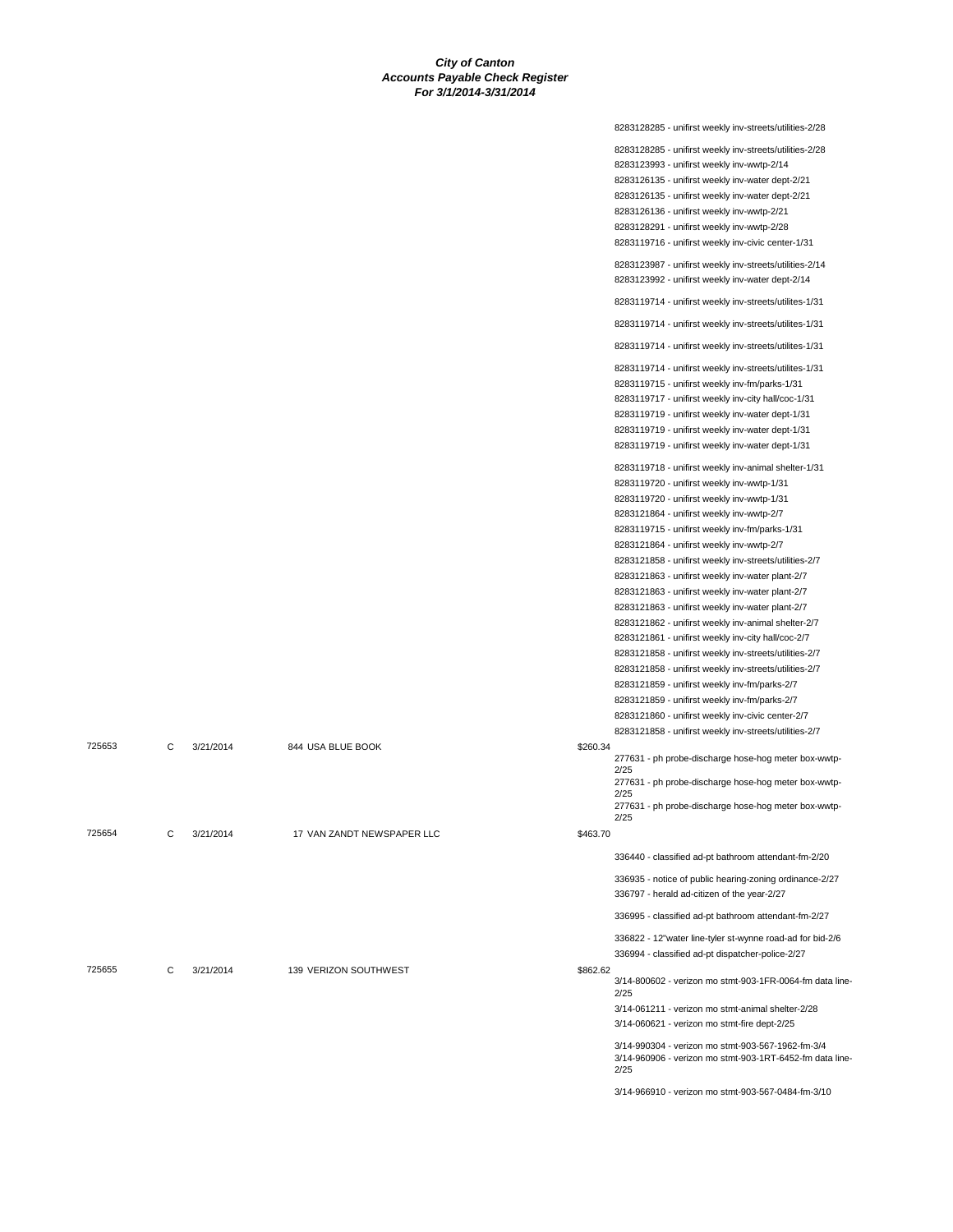|        |   |           |                            |          | 8283128285 - unifirst weekly inv-streets/utilities-2/28                                                              |
|--------|---|-----------|----------------------------|----------|----------------------------------------------------------------------------------------------------------------------|
|        |   |           |                            |          | 8283128285 - unifirst weekly inv-streets/utilities-2/28                                                              |
|        |   |           |                            |          | 8283123993 - unifirst weekly inv-wwtp-2/14                                                                           |
|        |   |           |                            |          | 8283126135 - unifirst weekly inv-water dept-2/21                                                                     |
|        |   |           |                            |          | 8283126135 - unifirst weekly inv-water dept-2/21                                                                     |
|        |   |           |                            |          | 8283126136 - unifirst weekly inv-wwtp-2/21                                                                           |
|        |   |           |                            |          | 8283128291 - unifirst weekly inv-wwtp-2/28                                                                           |
|        |   |           |                            |          | 8283119716 - unifirst weekly inv-civic center-1/31                                                                   |
|        |   |           |                            |          |                                                                                                                      |
|        |   |           |                            |          | 8283123987 - unifirst weekly inv-streets/utilities-2/14                                                              |
|        |   |           |                            |          | 8283123992 - unifirst weekly inv-water dept-2/14                                                                     |
|        |   |           |                            |          | 8283119714 - unifirst weekly inv-streets/utilites-1/31                                                               |
|        |   |           |                            |          | 8283119714 - unifirst weekly inv-streets/utilites-1/31                                                               |
|        |   |           |                            |          | 8283119714 - unifirst weekly inv-streets/utilites-1/31                                                               |
|        |   |           |                            |          | 8283119714 - unifirst weekly inv-streets/utilites-1/31                                                               |
|        |   |           |                            |          | 8283119715 - unifirst weekly inv-fm/parks-1/31                                                                       |
|        |   |           |                            |          | 8283119717 - unifirst weekly inv-city hall/coc-1/31                                                                  |
|        |   |           |                            |          | 8283119719 - unifirst weekly inv-water dept-1/31                                                                     |
|        |   |           |                            |          | 8283119719 - unifirst weekly inv-water dept-1/31                                                                     |
|        |   |           |                            |          | 8283119719 - unifirst weekly inv-water dept-1/31                                                                     |
|        |   |           |                            |          | 8283119718 - unifirst weekly inv-animal shelter-1/31                                                                 |
|        |   |           |                            |          | 8283119720 - unifirst weekly inv-wwtp-1/31                                                                           |
|        |   |           |                            |          | 8283119720 - unifirst weekly inv-wwtp-1/31                                                                           |
|        |   |           |                            |          | 8283121864 - unifirst weekly inv-wwtp-2/7                                                                            |
|        |   |           |                            |          | 8283119715 - unifirst weekly inv-fm/parks-1/31                                                                       |
|        |   |           |                            |          | 8283121864 - unifirst weekly inv-wwtp-2/7                                                                            |
|        |   |           |                            |          | 8283121858 - unifirst weekly inv-streets/utilities-2/7                                                               |
|        |   |           |                            |          | 8283121863 - unifirst weekly inv-water plant-2/7                                                                     |
|        |   |           |                            |          | 8283121863 - unifirst weekly inv-water plant-2/7                                                                     |
|        |   |           |                            |          | 8283121863 - unifirst weekly inv-water plant-2/7                                                                     |
|        |   |           |                            |          | 8283121862 - unifirst weekly inv-animal shelter-2/7                                                                  |
|        |   |           |                            |          | 8283121861 - unifirst weekly inv-city hall/coc-2/7                                                                   |
|        |   |           |                            |          |                                                                                                                      |
|        |   |           |                            |          | 8283121858 - unifirst weekly inv-streets/utilities-2/7                                                               |
|        |   |           |                            |          | 8283121858 - unifirst weekly inv-streets/utilities-2/7                                                               |
|        |   |           |                            |          | 8283121859 - unifirst weekly inv-fm/parks-2/7                                                                        |
|        |   |           |                            |          | 8283121859 - unifirst weekly inv-fm/parks-2/7                                                                        |
|        |   |           |                            |          | 8283121860 - unifirst weekly inv-civic center-2/7                                                                    |
|        |   |           |                            |          | 8283121858 - unifirst weekly inv-streets/utilities-2/7                                                               |
| 725653 | C | 3/21/2014 | 844 USA BLUE BOOK          | \$260.34 | 277631 - ph probe-discharge hose-hog meter box-wwtp-<br>2/25                                                         |
|        |   |           |                            |          | 277631 - ph probe-discharge hose-hog meter box-wwtp-                                                                 |
|        |   |           |                            |          | 2/25                                                                                                                 |
|        |   |           |                            |          | 277631 - ph probe-discharge hose-hog meter box-wwtp-<br>2/25                                                         |
| 725654 | С | 3/21/2014 | 17 VAN ZANDT NEWSPAPER LLC | \$463.70 |                                                                                                                      |
|        |   |           |                            |          | 336440 - classified ad-pt bathroom attendant-fm-2/20                                                                 |
|        |   |           |                            |          | 336935 - notice of public hearing-zoning ordinance-2/27<br>336797 - herald ad-citizen of the year-2/27               |
|        |   |           |                            |          | 336995 - classified ad-pt bathroom attendant-fm-2/27                                                                 |
|        |   |           |                            |          | 336822 - 12"water line-tyler st-wynne road-ad for bid-2/6                                                            |
|        |   |           |                            |          | 336994 - classified ad-pt dispatcher-police-2/27                                                                     |
| 725655 | С | 3/21/2014 | 139 VERIZON SOUTHWEST      | \$862.62 | 3/14-800602 - verizon mo stmt-903-1FR-0064-fm data line-<br>2/25                                                     |
|        |   |           |                            |          | 3/14-061211 - verizon mo stmt-animal shelter-2/28                                                                    |
|        |   |           |                            |          | 3/14-060621 - verizon mo stmt-fire dept-2/25                                                                         |
|        |   |           |                            |          | 3/14-990304 - verizon mo stmt-903-567-1962-fm-3/4<br>3/14-960906 - verizon mo stmt-903-1RT-6452-fm data line<br>2/25 |
|        |   |           |                            |          | 3/14-966910 - verizon mo stmt-903-567-0484-fm-3/10                                                                   |
|        |   |           |                            |          |                                                                                                                      |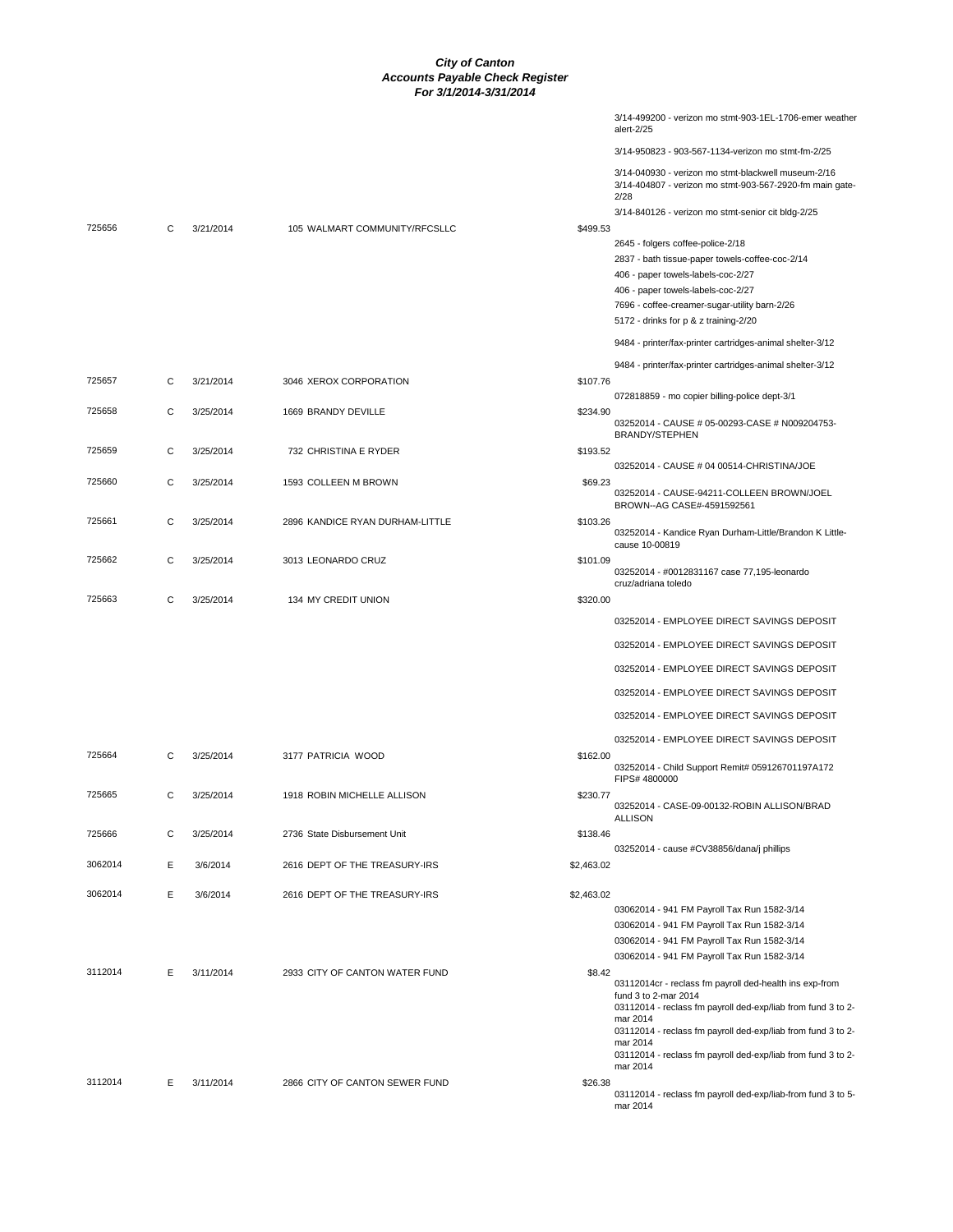|         |   |           |                                 |            | 3/14-499200 - verizon mo stmt-903-1EL-1706-emer weather<br>alert-2/25                                           |
|---------|---|-----------|---------------------------------|------------|-----------------------------------------------------------------------------------------------------------------|
|         |   |           |                                 |            | 3/14-950823 - 903-567-1134-verizon mo stmt-fm-2/25                                                              |
|         |   |           |                                 |            | 3/14-040930 - verizon mo stmt-blackwell museum-2/16<br>3/14-404807 - verizon mo stmt-903-567-2920-fm main gate- |
|         |   |           |                                 |            | 2/28                                                                                                            |
| 725656  | C | 3/21/2014 | 105 WALMART COMMUNITY/RFCSLLC   | \$499.53   | 3/14-840126 - verizon mo stmt-senior cit bldg-2/25                                                              |
|         |   |           |                                 |            | 2645 - folgers coffee-police-2/18                                                                               |
|         |   |           |                                 |            | 2837 - bath tissue-paper towels-coffee-coc-2/14                                                                 |
|         |   |           |                                 |            | 406 - paper towels-labels-coc-2/27                                                                              |
|         |   |           |                                 |            | 406 - paper towels-labels-coc-2/27                                                                              |
|         |   |           |                                 |            | 7696 - coffee-creamer-sugar-utility barn-2/26                                                                   |
|         |   |           |                                 |            | 5172 - drinks for p & z training-2/20                                                                           |
|         |   |           |                                 |            | 9484 - printer/fax-printer cartridges-animal shelter-3/12                                                       |
|         |   |           |                                 |            | 9484 - printer/fax-printer cartridges-animal shelter-3/12                                                       |
| 725657  | C | 3/21/2014 | 3046 XEROX CORPORATION          | \$107.76   |                                                                                                                 |
| 725658  | C | 3/25/2014 | 1669 BRANDY DEVILLE             | \$234.90   | 072818859 - mo copier billing-police dept-3/1                                                                   |
|         |   |           |                                 |            | 03252014 - CAUSE # 05-00293-CASE # N009204753-                                                                  |
|         |   |           |                                 |            | BRANDY/STEPHEN                                                                                                  |
| 725659  | С | 3/25/2014 | 732 CHRISTINA E RYDER           | \$193.52   |                                                                                                                 |
|         |   |           |                                 |            | 03252014 - CAUSE # 04 00514-CHRISTINA/JOE                                                                       |
| 725660  | C | 3/25/2014 | 1593 COLLEEN M BROWN            | \$69.23    | 03252014 - CAUSE-94211-COLLEEN BROWN/JOEL                                                                       |
|         |   |           |                                 |            | BROWN--AG CASE#-4591592561                                                                                      |
| 725661  | C | 3/25/2014 | 2896 KANDICE RYAN DURHAM-LITTLE | \$103.26   | 03252014 - Kandice Ryan Durham-Little/Brandon K Little-<br>cause 10-00819                                       |
| 725662  | C | 3/25/2014 | 3013 LEONARDO CRUZ              | \$101.09   |                                                                                                                 |
|         |   |           |                                 |            | 03252014 - #0012831167 case 77,195-leonardo<br>cruz/adriana toledo                                              |
| 725663  | C | 3/25/2014 | 134 MY CREDIT UNION             | \$320.00   |                                                                                                                 |
|         |   |           |                                 |            | 03252014 - EMPLOYEE DIRECT SAVINGS DEPOSIT                                                                      |
|         |   |           |                                 |            | 03252014 - EMPLOYEE DIRECT SAVINGS DEPOSIT                                                                      |
|         |   |           |                                 |            | 03252014 - EMPLOYEE DIRECT SAVINGS DEPOSIT                                                                      |
|         |   |           |                                 |            | 03252014 - EMPLOYEE DIRECT SAVINGS DEPOSIT                                                                      |
|         |   |           |                                 |            | 03252014 - EMPLOYEE DIRECT SAVINGS DEPOSIT                                                                      |
|         |   |           |                                 |            | 03252014 - EMPLOYEE DIRECT SAVINGS DEPOSIT                                                                      |
| 725664  | C | 3/25/2014 | 3177 PATRICIA WOOD              | \$162.00   |                                                                                                                 |
|         |   |           |                                 |            | 03252014 - Child Support Remit# 059126701197A172<br>FIPS# 4800000                                               |
| 725665  | C | 3/25/2014 | 1918 ROBIN MICHELLE ALLISON     | \$230.77   |                                                                                                                 |
|         |   |           |                                 |            | 03252014 - CASE-09-00132-ROBIN ALLISON/BRAD<br><b>ALLISON</b>                                                   |
| 725666  | C | 3/25/2014 | 2736 State Disbursement Unit    | \$138.46   |                                                                                                                 |
|         |   |           |                                 |            | 03252014 - cause #CV38856/dana/j phillips                                                                       |
| 3062014 | Ε | 3/6/2014  | 2616 DEPT OF THE TREASURY-IRS   | \$2,463.02 |                                                                                                                 |
| 3062014 | E | 3/6/2014  | 2616 DEPT OF THE TREASURY-IRS   | \$2,463.02 |                                                                                                                 |
|         |   |           |                                 |            | 03062014 - 941 FM Payroll Tax Run 1582-3/14                                                                     |
|         |   |           |                                 |            | 03062014 - 941 FM Payroll Tax Run 1582-3/14                                                                     |
|         |   |           |                                 |            | 03062014 - 941 FM Payroll Tax Run 1582-3/14                                                                     |
|         |   |           |                                 |            | 03062014 - 941 FM Payroll Tax Run 1582-3/14                                                                     |
| 3112014 | Е | 3/11/2014 | 2933 CITY OF CANTON WATER FUND  | \$8.42     | 03112014cr - reclass fm payroll ded-health ins exp-from                                                         |
|         |   |           |                                 |            | fund 3 to 2-mar 2014                                                                                            |
|         |   |           |                                 |            | 03112014 - reclass fm payroll ded-exp/liab from fund 3 to 2-<br>mar 2014                                        |
|         |   |           |                                 |            | 03112014 - reclass fm payroll ded-exp/liab from fund 3 to 2-                                                    |
|         |   |           |                                 |            | mar 2014<br>03112014 - reclass fm payroll ded-exp/liab from fund 3 to 2-                                        |
|         |   |           |                                 |            | mar 2014                                                                                                        |
| 3112014 | Е | 3/11/2014 | 2866 CITY OF CANTON SEWER FUND  | \$26.38    |                                                                                                                 |
|         |   |           |                                 |            | 03112014 - reclass fm payroll ded-exp/liab-from fund 3 to 5-<br>mar 2014                                        |